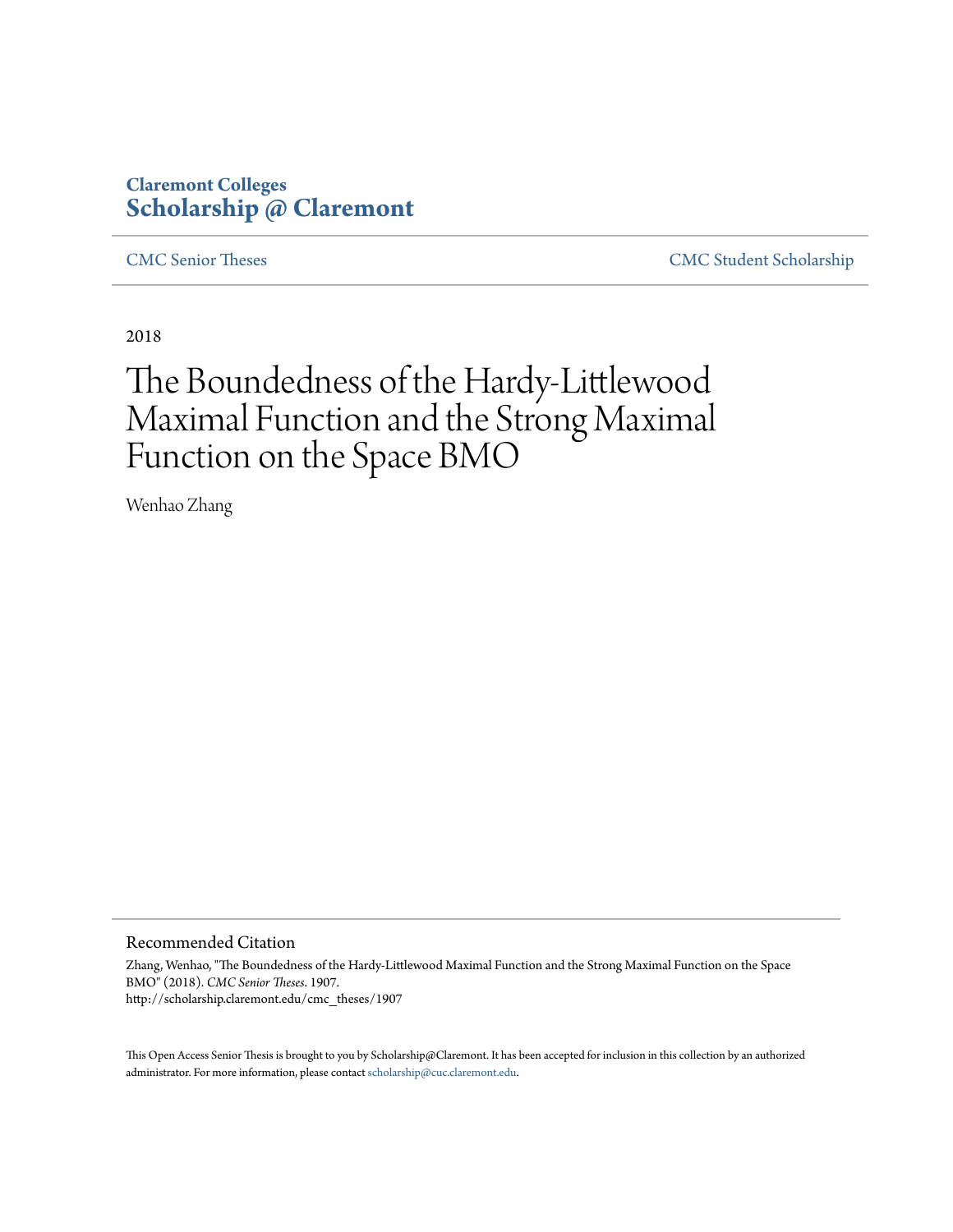# **Claremont Colleges [Scholarship @ Claremont](http://scholarship.claremont.edu)**

[CMC Senior Theses](http://scholarship.claremont.edu/cmc_theses) [CMC Student Scholarship](http://scholarship.claremont.edu/cmc_student)

2018

# The Boundedness of the Hardy-Littlewood Maximal Function and the Strong Maximal Function on the Space BMO

Wenhao Zhang

### Recommended Citation

Zhang, Wenhao, "The Boundedness of the Hardy-Littlewood Maximal Function and the Strong Maximal Function on the Space BMO" (2018). *CMC Senior Theses*. 1907. http://scholarship.claremont.edu/cmc\_theses/1907

This Open Access Senior Thesis is brought to you by Scholarship@Claremont. It has been accepted for inclusion in this collection by an authorized administrator. For more information, please contact [scholarship@cuc.claremont.edu.](mailto:scholarship@cuc.claremont.edu)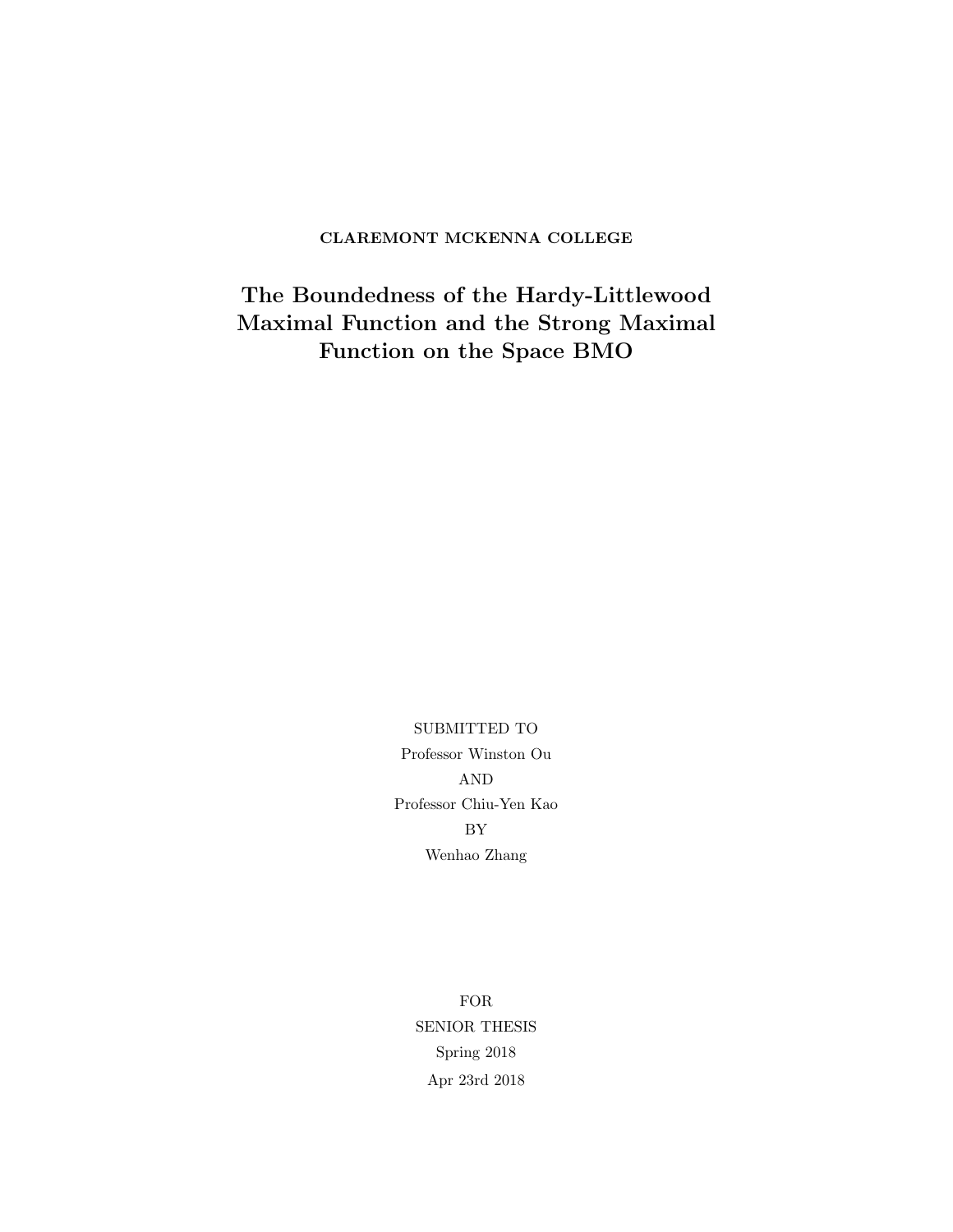### CLAREMONT MCKENNA COLLEGE

The Boundedness of the Hardy-Littlewood Maximal Function and the Strong Maximal Function on the Space BMO

> SUBMITTED TO Professor Winston Ou AND Professor Chiu-Yen Kao BY Wenhao Zhang

> > FOR SENIOR THESIS Spring 2018 Apr 23rd 2018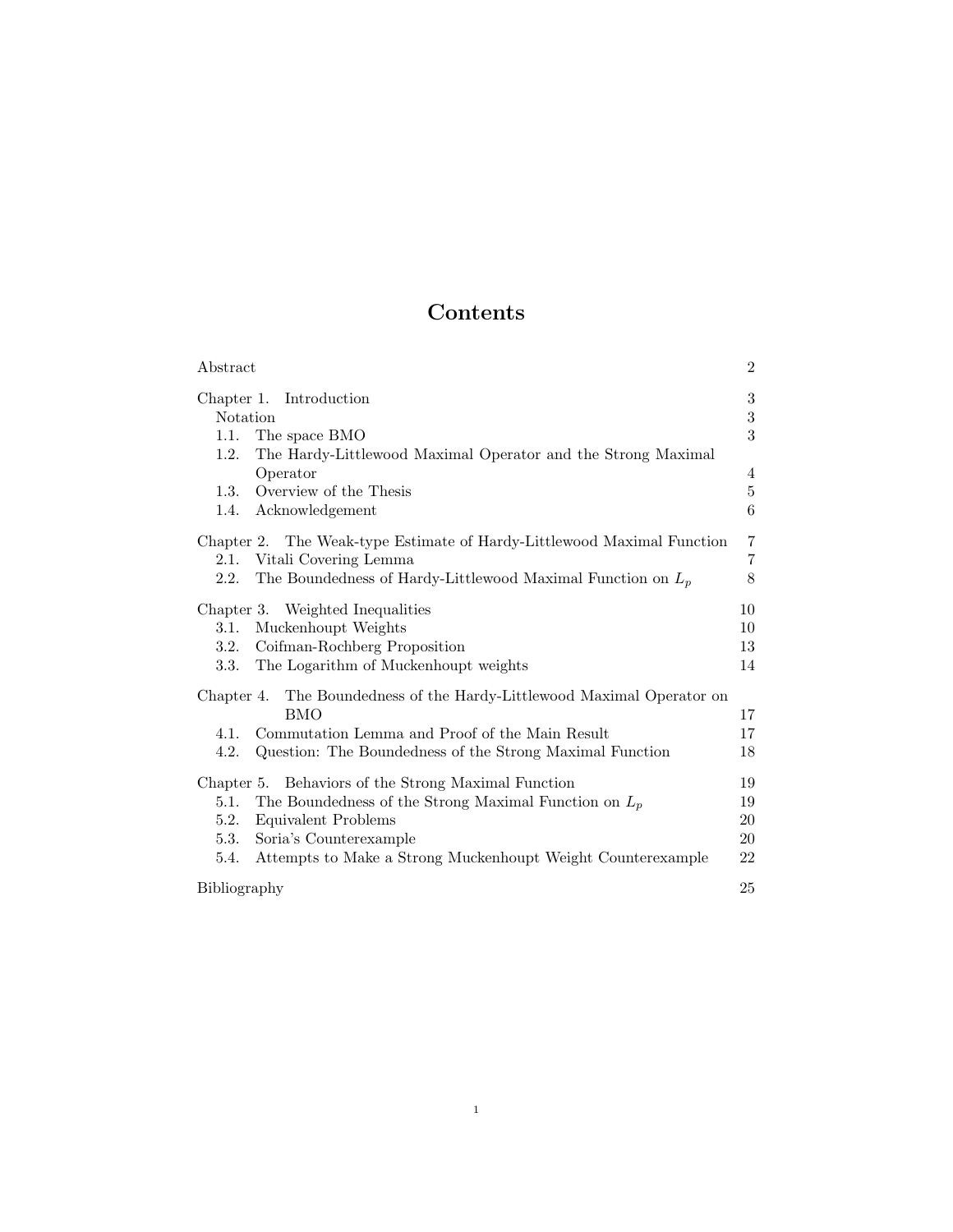# Contents

| Abstract                                                                  | $\overline{2}$ |
|---------------------------------------------------------------------------|----------------|
| Chapter 1. Introduction                                                   | $\sqrt{3}$     |
| Notation                                                                  | $\sqrt{3}$     |
| 1.1.<br>The space BMO                                                     | 3              |
| 1.2.<br>The Hardy-Littlewood Maximal Operator and the Strong Maximal      |                |
| Operator                                                                  | 4              |
| Overview of the Thesis<br>1.3.                                            | $\overline{5}$ |
| Acknowledgement<br>1.4.                                                   | 6              |
| Chapter 2. The Weak-type Estimate of Hardy-Littlewood Maximal Function    | $\overline{7}$ |
| 2.1. Vitali Covering Lemma                                                | $\overline{7}$ |
| The Boundedness of Hardy-Littlewood Maximal Function on $L_p$<br>2.2.     | 8              |
| Chapter 3. Weighted Inequalities                                          | 10             |
| Muckenhoupt Weights<br>3.1.                                               | 10             |
| Coifman-Rochberg Proposition<br>3.2.                                      | 13             |
| The Logarithm of Muckenhoupt weights<br>3.3.                              | 14             |
| The Boundedness of the Hardy-Littlewood Maximal Operator on<br>Chapter 4. |                |
| <b>BMO</b>                                                                | 17             |
| Commutation Lemma and Proof of the Main Result<br>4.1.                    | 17             |
| 4.2.<br>Question: The Boundedness of the Strong Maximal Function          | 18             |
| Chapter 5. Behaviors of the Strong Maximal Function                       | 19             |
| The Boundedness of the Strong Maximal Function on $L_p$<br>5.1.           | 19             |
| 5.2.<br>Equivalent Problems                                               | 20             |
| Soria's Counterexample<br>5.3.                                            | 20             |
| Attempts to Make a Strong Muckenhoupt Weight Counterexample<br>5.4.       | 22             |
| Bibliography                                                              | 25             |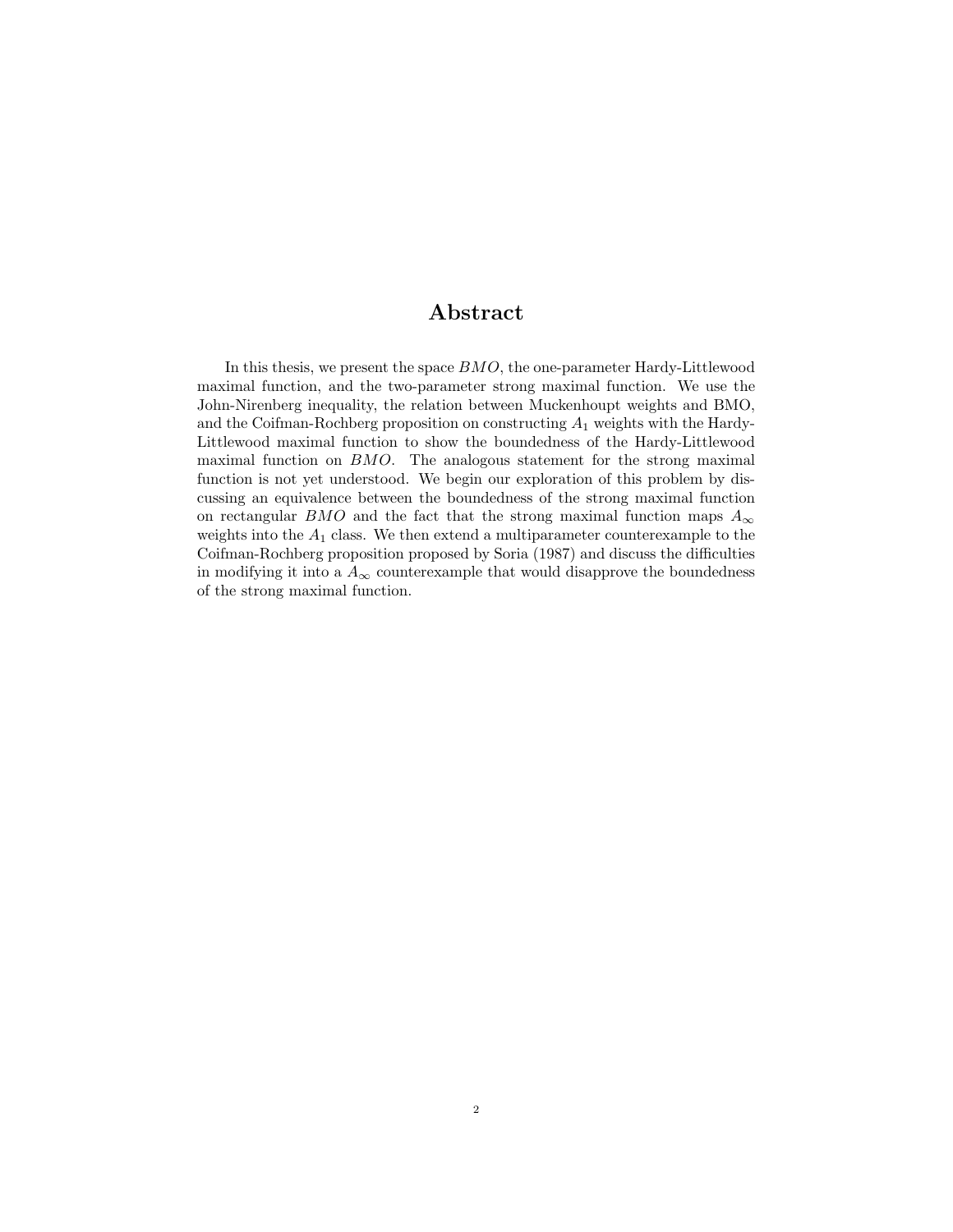### Abstract

In this thesis, we present the space BMO, the one-parameter Hardy-Littlewood maximal function, and the two-parameter strong maximal function. We use the John-Nirenberg inequality, the relation between Muckenhoupt weights and BMO, and the Coifman-Rochberg proposition on constructing  $A_1$  weights with the Hardy-Littlewood maximal function to show the boundedness of the Hardy-Littlewood maximal function on BMO. The analogous statement for the strong maximal function is not yet understood. We begin our exploration of this problem by discussing an equivalence between the boundedness of the strong maximal function on rectangular BMO and the fact that the strong maximal function maps  $A_{\infty}$ weights into the  $A_1$  class. We then extend a multiparameter counterexample to the Coifman-Rochberg proposition proposed by Soria (1987) and discuss the difficulties in modifying it into a  $A_{\infty}$  counterexample that would disapprove the boundedness of the strong maximal function.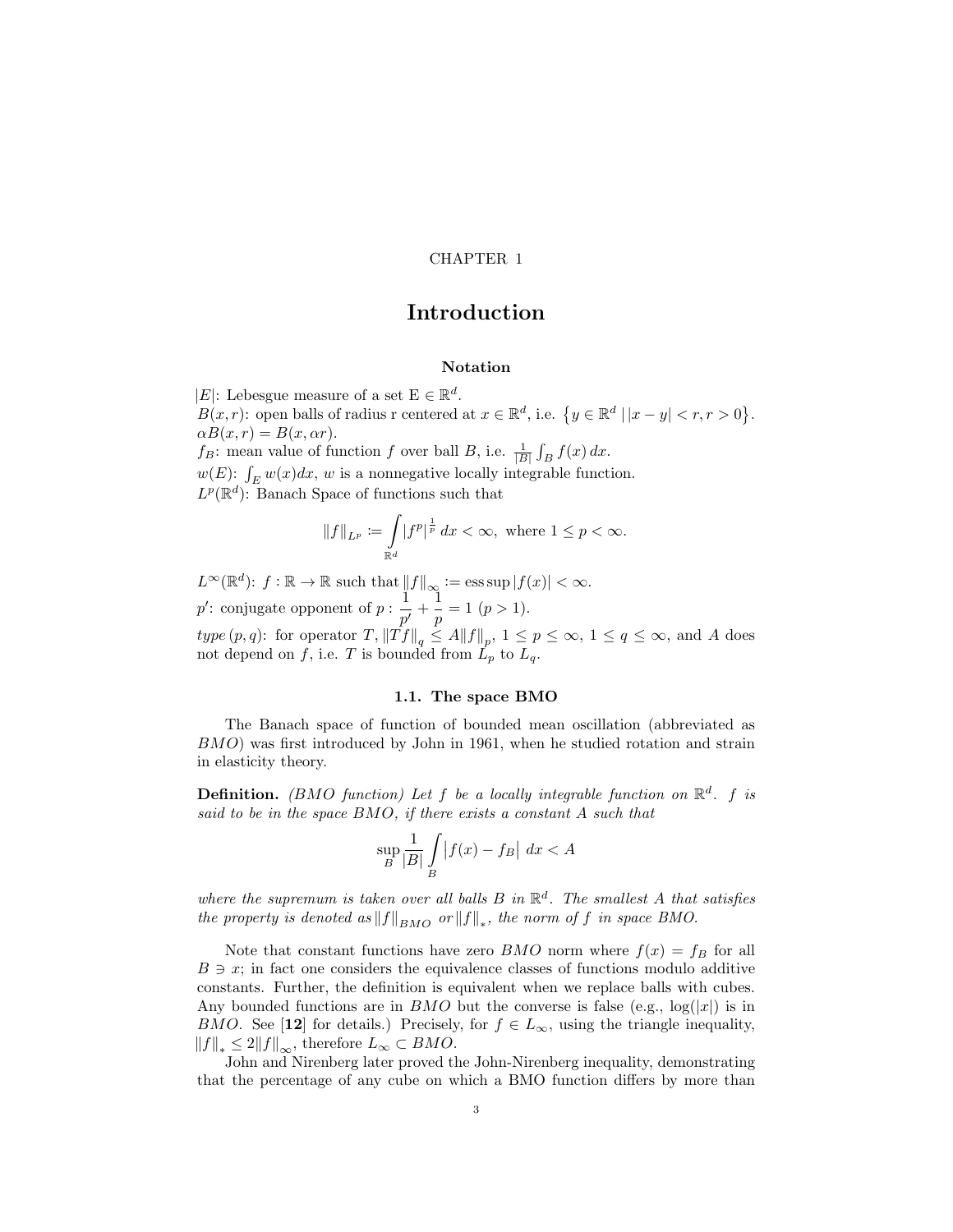### CHAPTER 1

### Introduction

### Notation

|E|: Lebesgue measure of a set  $\mathbf{E} \in \mathbb{R}^d$ .

 $B(x,r)$ : open balls of radius r centered at  $x \in \mathbb{R}^d$ , i.e.  $\{y \in \mathbb{R}^d \mid |x-y| < r, r > 0\}$ .  $\alpha B(x,r) = B(x,\alpha r).$ 

 $f_B$ : mean value of function f over ball B, i.e.  $\frac{1}{|B|} \int_B f(x) dx$ .

 $w(E)$ :  $\int_E w(x)dx$ , w is a nonnegative locally integrable function.

 $L^p(\mathbb{R}^d)$ : Banach Space of functions such that

$$
\|f\|_{L^p} \coloneqq \int\limits_{\mathbb{R}^d} |f^p|^{\frac{1}{p}} \, dx < \infty, \text{ where } 1 \leq p < \infty.
$$

 $L^{\infty}(\mathbb{R}^d)$ :  $f : \mathbb{R} \to \mathbb{R}$  such that  $||f||_{\infty} := \operatorname{ess} \sup |f(x)| < \infty$ . p': conjugate opponent of  $p: \frac{1}{q}$  $\frac{1}{p'}+\frac{1}{p}$  $\frac{1}{p} = 1 \; (p > 1).$  $type(p, q)$ : for operator  $T$ ,  $||Tf||_q \leq A||f||_p$ ,  $1 \leq p \leq \infty$ ,  $1 \leq q \leq \infty$ , and A does not depend on f, i.e. T is bounded from  $L_p$  to  $L_q$ .

#### 1.1. The space BMO

The Banach space of function of bounded mean oscillation (abbreviated as BMO) was first introduced by John in 1961, when he studied rotation and strain in elasticity theory.

**Definition.** (BMO function) Let f be a locally integrable function on  $\mathbb{R}^d$ . f is said to be in the space BMO, if there exists a constant A such that

$$
\sup_B \frac{1}{|B|} \int\limits_B |f(x) - f_B| \ dx < A
$$

where the supremum is taken over all balls  $B$  in  $\mathbb{R}^d$ . The smallest A that satisfies the property is denoted as  $||f||_{BMO}$  or  $||f||_*$ , the norm of f in space BMO.

Note that constant functions have zero *BMO* norm where  $f(x) = f_B$  for all  $B \ni x$ ; in fact one considers the equivalence classes of functions modulo additive constants. Further, the definition is equivalent when we replace balls with cubes. Any bounded functions are in BMO but the converse is false (e.g.,  $log(|x|)$  is in BMO. See [12] for details.) Precisely, for  $f \in L_{\infty}$ , using the triangle inequality,  $||f||_* \leq 2||f||_{\infty}$ , therefore  $L_{\infty} \subset BMO$ .

John and Nirenberg later proved the John-Nirenberg inequality, demonstrating that the percentage of any cube on which a BMO function differs by more than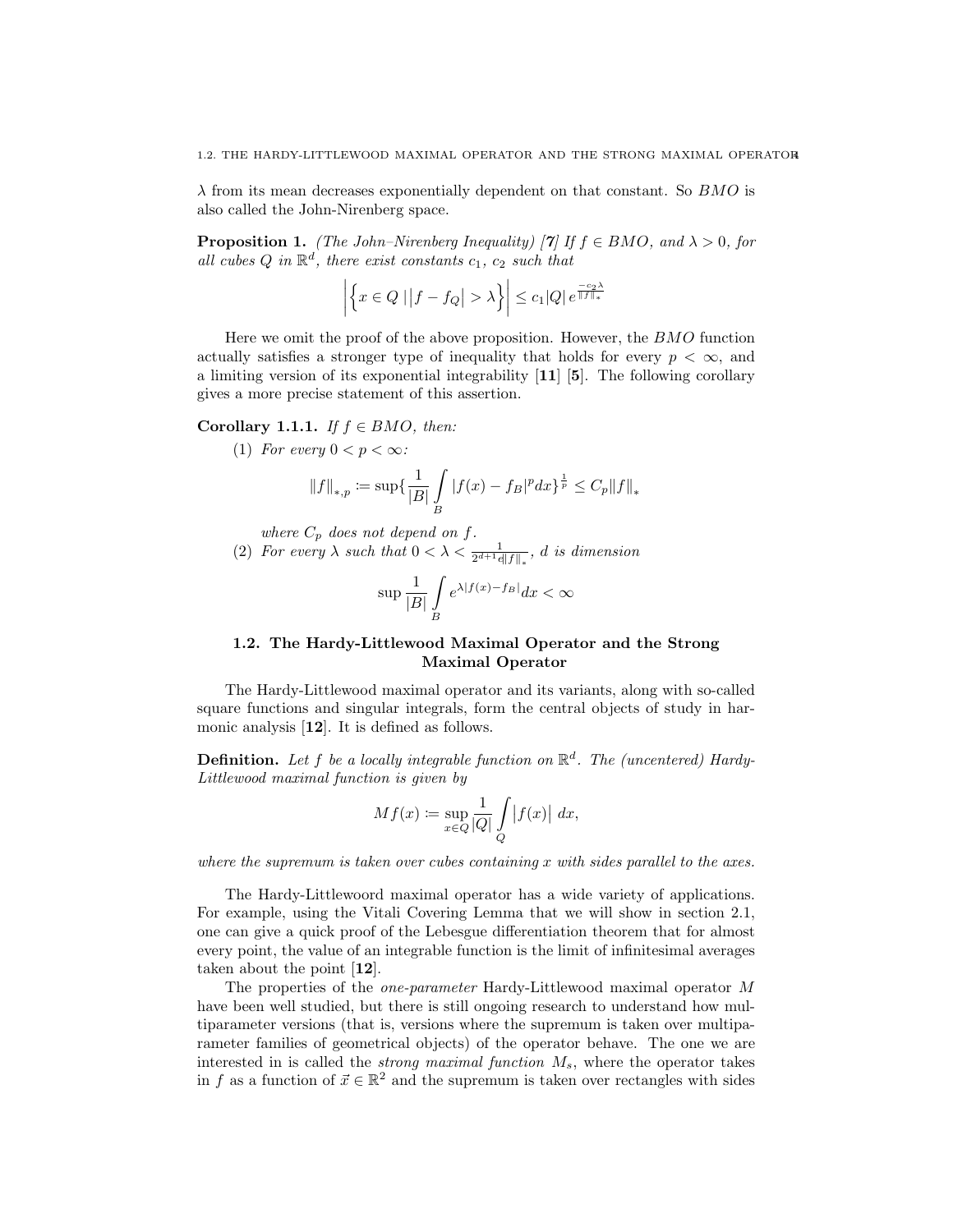$\lambda$  from its mean decreases exponentially dependent on that constant. So BMO is also called the John-Nirenberg space.

**Proposition 1.** (The John–Nirenberg Inequality) [7] If  $f \in BMO$ , and  $\lambda > 0$ , for all cubes Q in  $\mathbb{R}^d$ , there exist constants  $c_1$ ,  $c_2$  such that

$$
\left| \left\{ x \in Q \mid \left| f - f_Q \right| > \lambda \right\} \right| \leq c_1 |Q| e^{\frac{-c_2 \lambda}{\|f\|_{*}^2}}
$$

Here we omit the proof of the above proposition. However, the BMO function actually satisfies a stronger type of inequality that holds for every  $p < \infty$ , and a limiting version of its exponential integrability [11] [5]. The following corollary gives a more precise statement of this assertion.

Corollary 1.1.1. If  $f \in BMO$ , then:

(1) For every  $0 < p < \infty$ :

$$
||f||_{*,p} := \sup \{ \frac{1}{|B|} \int\limits_B |f(x) - f_B|^p dx \}^{\frac{1}{p}} \le C_p ||f||_*
$$

where  $C_p$  does not depend on f.

(2) For every  $\lambda$  such that  $0 < \lambda < \frac{1}{2^{d+1}e||f||_*}, d$  is dimension

$$
\sup \frac{1}{|B|} \int\limits_B e^{\lambda |f(x)-f_B|} dx < \infty
$$

### 1.2. The Hardy-Littlewood Maximal Operator and the Strong Maximal Operator

The Hardy-Littlewood maximal operator and its variants, along with so-called square functions and singular integrals, form the central objects of study in harmonic analysis [12]. It is defined as follows.

**Definition.** Let f be a locally integrable function on  $\mathbb{R}^d$ . The (uncentered) Hardy-Littlewood maximal function is given by

$$
Mf(x) := \sup_{x \in Q} \frac{1}{|Q|} \int_{Q} |f(x)| dx,
$$

where the supremum is taken over cubes containing x with sides parallel to the axes.

The Hardy-Littlewoord maximal operator has a wide variety of applications. For example, using the Vitali Covering Lemma that we will show in section 2.1, one can give a quick proof of the Lebesgue differentiation theorem that for almost every point, the value of an integrable function is the limit of infinitesimal averages taken about the point [12].

The properties of the one-parameter Hardy-Littlewood maximal operator M have been well studied, but there is still ongoing research to understand how multiparameter versions (that is, versions where the supremum is taken over multiparameter families of geometrical objects) of the operator behave. The one we are interested in is called the *strong maximal function*  $M_s$ , where the operator takes in f as a function of  $\vec{x} \in \mathbb{R}^2$  and the supremum is taken over rectangles with sides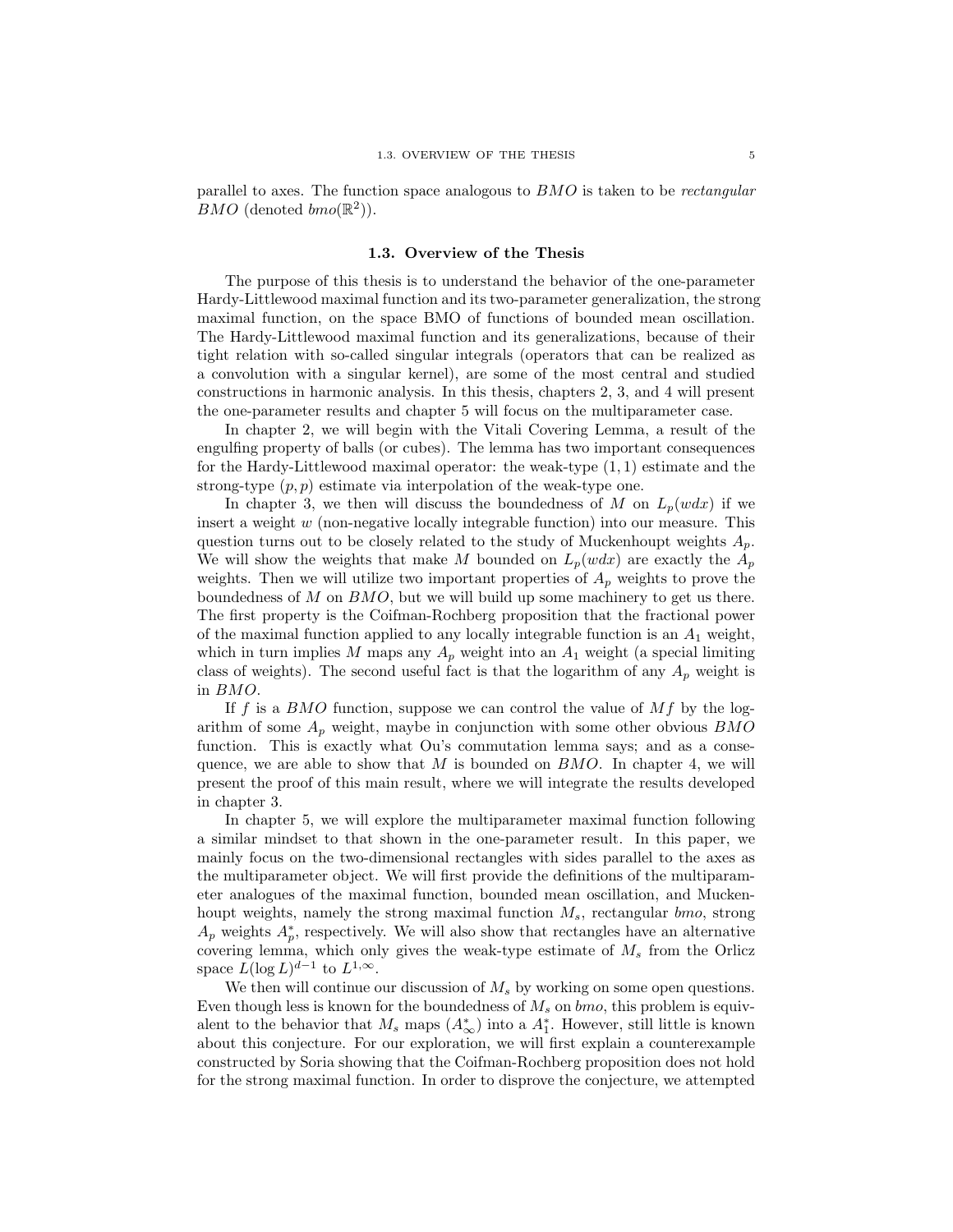parallel to axes. The function space analogous to BMO is taken to be rectangular BMO (denoted  $bmo(\mathbb{R}^2)$ ).

#### 1.3. Overview of the Thesis

The purpose of this thesis is to understand the behavior of the one-parameter Hardy-Littlewood maximal function and its two-parameter generalization, the strong maximal function, on the space BMO of functions of bounded mean oscillation. The Hardy-Littlewood maximal function and its generalizations, because of their tight relation with so-called singular integrals (operators that can be realized as a convolution with a singular kernel), are some of the most central and studied constructions in harmonic analysis. In this thesis, chapters 2, 3, and 4 will present the one-parameter results and chapter 5 will focus on the multiparameter case.

In chapter 2, we will begin with the Vitali Covering Lemma, a result of the engulfing property of balls (or cubes). The lemma has two important consequences for the Hardy-Littlewood maximal operator: the weak-type  $(1,1)$  estimate and the strong-type  $(p, p)$  estimate via interpolation of the weak-type one.

In chapter 3, we then will discuss the boundedness of M on  $L_p(wdx)$  if we insert a weight  $w$  (non-negative locally integrable function) into our measure. This question turns out to be closely related to the study of Muckenhoupt weights  $A_n$ . We will show the weights that make M bounded on  $L_p(wdx)$  are exactly the  $A_p$ weights. Then we will utilize two important properties of  $A_p$  weights to prove the boundedness of  $M$  on  $BMO$ , but we will build up some machinery to get us there. The first property is the Coifman-Rochberg proposition that the fractional power of the maximal function applied to any locally integrable function is an  $A_1$  weight, which in turn implies M maps any  $A_p$  weight into an  $A_1$  weight (a special limiting class of weights). The second useful fact is that the logarithm of any  $A_p$  weight is in BMO.

If f is a BMO function, suppose we can control the value of  $Mf$  by the logarithm of some  $A_p$  weight, maybe in conjunction with some other obvious  $BMO$ function. This is exactly what Ou's commutation lemma says; and as a consequence, we are able to show that  $M$  is bounded on  $BMO$ . In chapter 4, we will present the proof of this main result, where we will integrate the results developed in chapter 3.

In chapter 5, we will explore the multiparameter maximal function following a similar mindset to that shown in the one-parameter result. In this paper, we mainly focus on the two-dimensional rectangles with sides parallel to the axes as the multiparameter object. We will first provide the definitions of the multiparameter analogues of the maximal function, bounded mean oscillation, and Muckenhoupt weights, namely the strong maximal function  $M_s$ , rectangular  $bmo$ , strong  $A_p$  weights  $A_p^*$ , respectively. We will also show that rectangles have an alternative covering lemma, which only gives the weak-type estimate of  $M_s$  from the Orlicz space  $L(\log L)^{d-1}$  to  $L^{1,\infty}$ .

We then will continue our discussion of  $M_s$  by working on some open questions. Even though less is known for the boundedness of  $M_s$  on  $bmo$ , this problem is equivalent to the behavior that  $M_s$  maps  $(A^*_{\infty})$  into a  $A^*_1$ . However, still little is known about this conjecture. For our exploration, we will first explain a counterexample constructed by Soria showing that the Coifman-Rochberg proposition does not hold for the strong maximal function. In order to disprove the conjecture, we attempted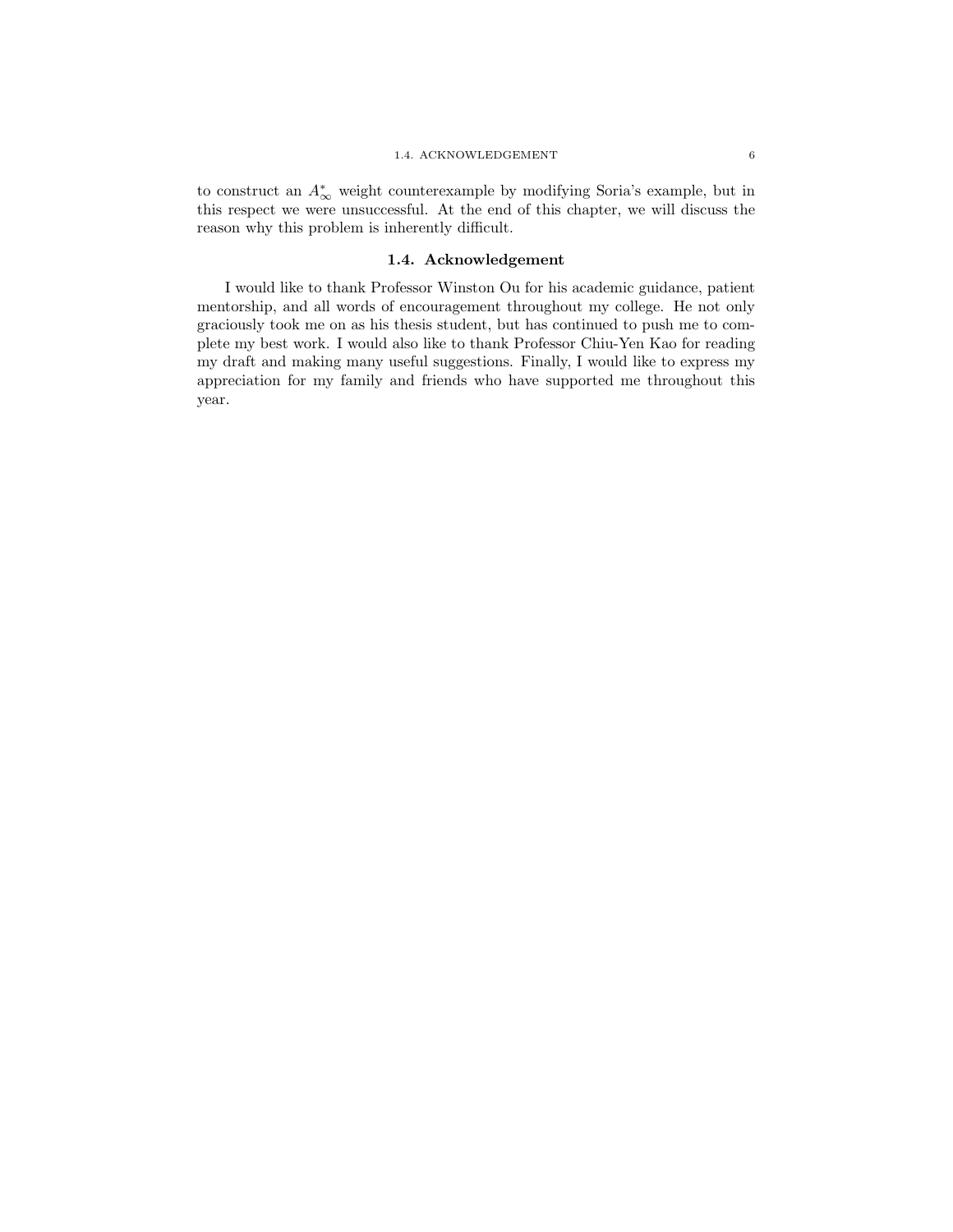### 1.4. ACKNOWLEDGEMENT 6

to construct an  $A^*_{\infty}$  weight counterexample by modifying Soria's example, but in this respect we were unsuccessful. At the end of this chapter, we will discuss the reason why this problem is inherently difficult.

### 1.4. Acknowledgement

I would like to thank Professor Winston Ou for his academic guidance, patient mentorship, and all words of encouragement throughout my college. He not only graciously took me on as his thesis student, but has continued to push me to complete my best work. I would also like to thank Professor Chiu-Yen Kao for reading my draft and making many useful suggestions. Finally, I would like to express my appreciation for my family and friends who have supported me throughout this year.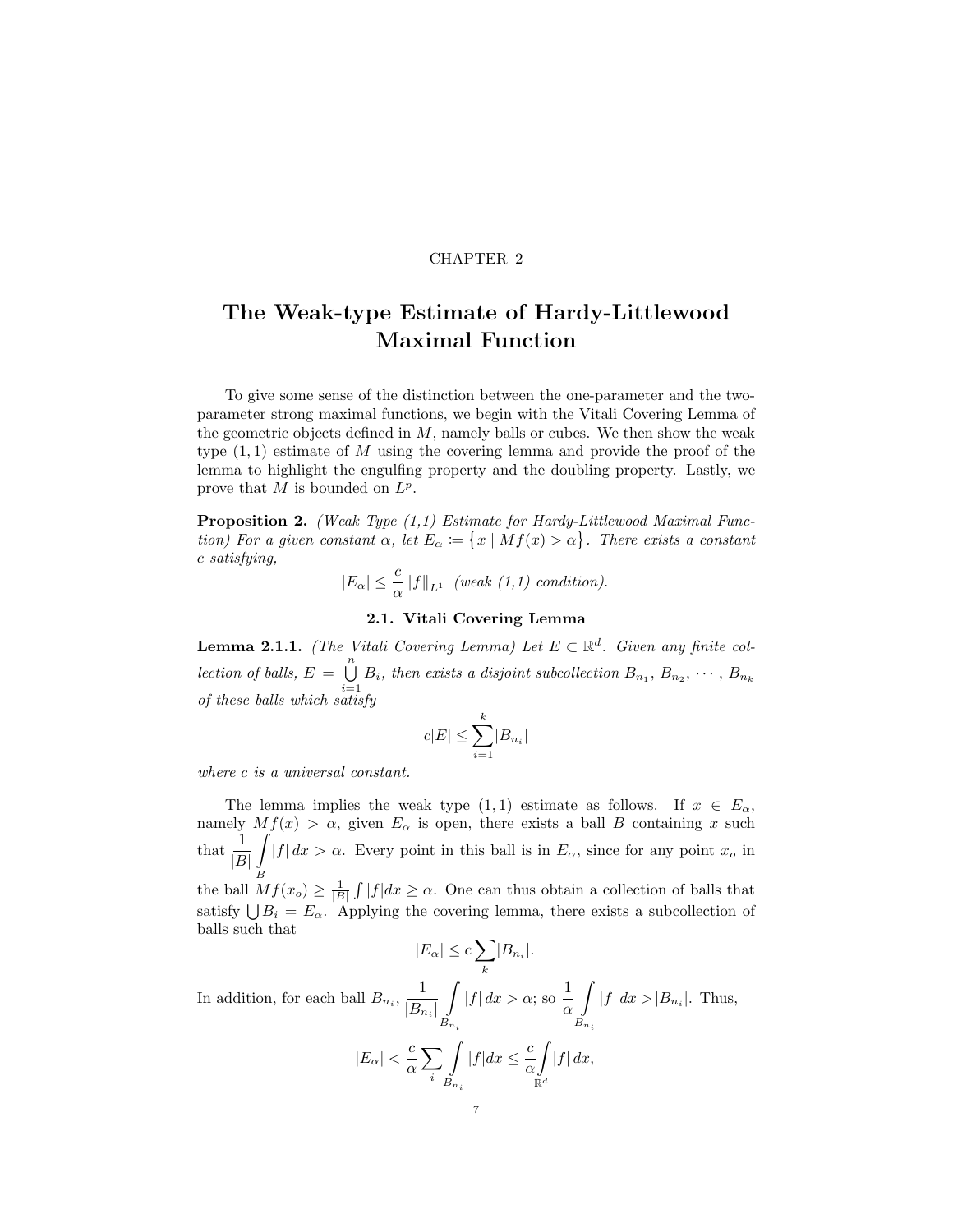### CHAPTER 2

# The Weak-type Estimate of Hardy-Littlewood Maximal Function

To give some sense of the distinction between the one-parameter and the twoparameter strong maximal functions, we begin with the Vitali Covering Lemma of the geometric objects defined in  $M$ , namely balls or cubes. We then show the weak type  $(1, 1)$  estimate of M using the covering lemma and provide the proof of the lemma to highlight the engulfing property and the doubling property. Lastly, we prove that  $M$  is bounded on  $L^p$ .

**Proposition 2.** (Weak Type  $(1,1)$  Estimate for Hardy-Littlewood Maximal Function) For a given constant  $\alpha$ , let  $E_{\alpha} := \{x \mid Mf(x) > \alpha\}$ . There exists a constant c satisfying,

$$
|E_{\alpha}| \leq \frac{c}{\alpha} ||f||_{L^{1}} \quad (weak (1,1) \, condition).
$$

### 2.1. Vitali Covering Lemma

**Lemma 2.1.1.** (The Vitali Covering Lemma) Let  $E \subset \mathbb{R}^d$ . Given any finite collection of balls,  $E = \bigcup_{n=1}^{\infty}$  $\bigcup_{i=1}$   $B_i$ , then exists a disjoint subcollection  $B_{n_1}, B_{n_2}, \cdots, B_{n_k}$ of these balls which satisfy

$$
c|E| \le \sum_{i=1}^k |B_{n_i}|
$$

where c is a universal constant.

The lemma implies the weak type  $(1, 1)$  estimate as follows. If  $x \in E_\alpha$ , namely  $Mf(x) > \alpha$ , given  $E_{\alpha}$  is open, there exists a ball B containing x such that  $\frac{1}{|B|}$ Z B  $|f| dx > \alpha$ . Every point in this ball is in  $E_{\alpha}$ , since for any point  $x_o$  in the ball  $Mf(x_o) \geq \frac{1}{|B|} \int |f| dx \geq \alpha$ . One can thus obtain a collection of balls that satisfy  $\bigcup B_i = E_\alpha$ . Applying the covering lemma, there exists a subcollection of balls such that

$$
|E_{\alpha}| \leq c \sum_{k} |B_{n_i}|.
$$

In addition, for each ball  $B_{n_i}$ ,  $\frac{1}{|B|}$  $|B_{n_i}|$ Z  $B_{n_i}$  $|f| dx > \alpha$ ; so  $\frac{1}{x}$ α Z  $B_{n_i}$  $|f| dx > |B_{n_i}|.$  Thus,  $|E_{\alpha}| < \frac{c}{c}$ α  $\sum$ i Z  $B_{n_i}$  $|f|dx \leq \frac{c}{\epsilon}$ α Z  $\mathbb{R}^d$  $|f|$  dx,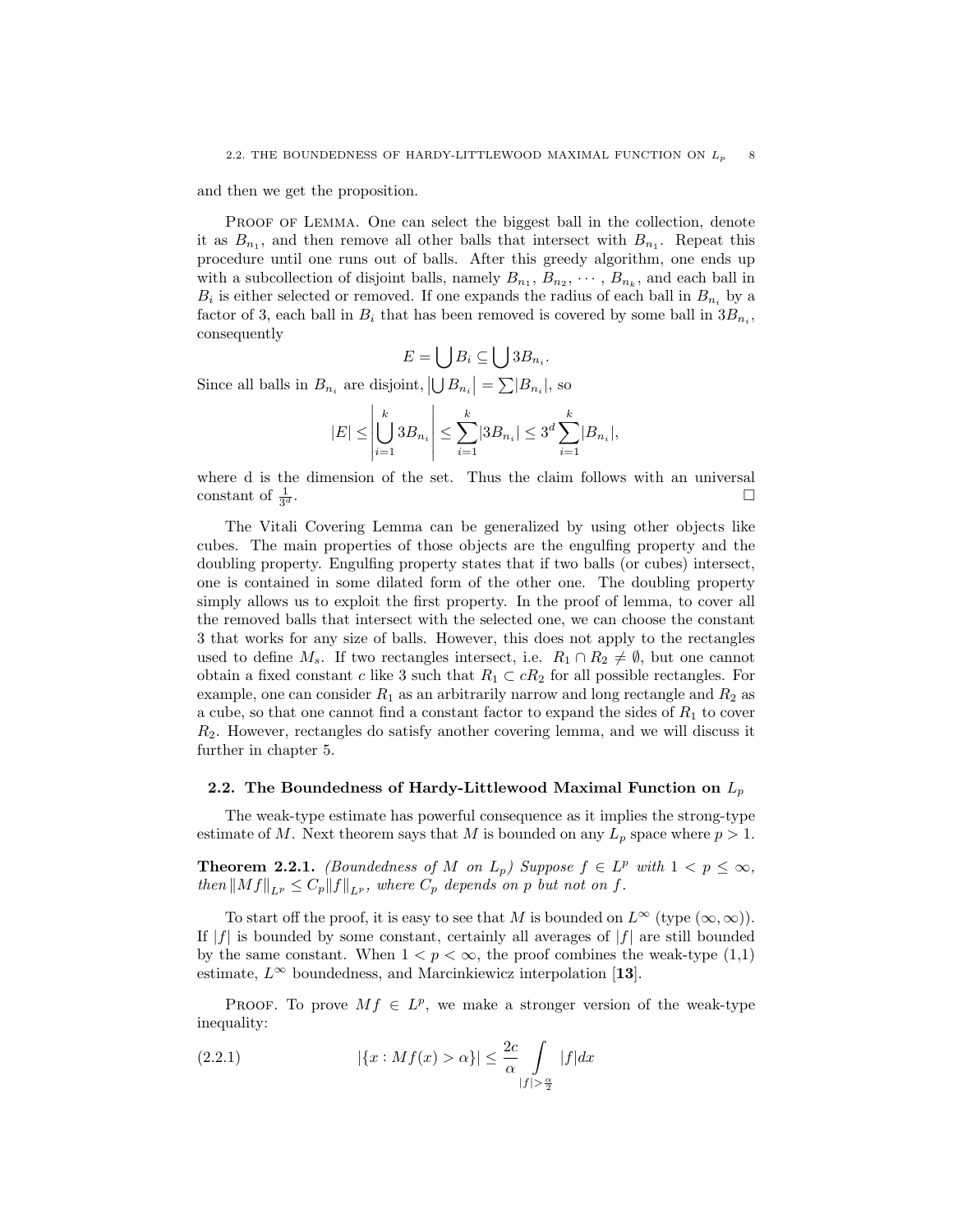and then we get the proposition.

PROOF OF LEMMA. One can select the biggest ball in the collection, denote it as  $B_{n_1}$ , and then remove all other balls that intersect with  $B_{n_1}$ . Repeat this procedure until one runs out of balls. After this greedy algorithm, one ends up with a subcollection of disjoint balls, namely  $B_{n_1}, B_{n_2}, \cdots, B_{n_k}$ , and each ball in  $B_i$  is either selected or removed. If one expands the radius of each ball in  $B_{n_i}$  by a factor of 3, each ball in  $B_i$  that has been removed is covered by some ball in  $3B_{n_i}$ , consequently

$$
E=\bigcup B_i\subseteq \bigcup 3B_{n_i}.
$$

Since all balls in  $B_{n_i}$  are disjoint,  $|\bigcup B_{n_i}| = \sum |B_{n_i}|$ , so

$$
|E| \le \left| \bigcup_{i=1}^k 3B_{n_i} \right| \le \sum_{i=1}^k |3B_{n_i}| \le 3^d \sum_{i=1}^k |B_{n_i}|,
$$

where d is the dimension of the set. Thus the claim follows with an universal constant of  $\frac{1}{3^c}$  $\frac{1}{d}$ .

The Vitali Covering Lemma can be generalized by using other objects like cubes. The main properties of those objects are the engulfing property and the doubling property. Engulfing property states that if two balls (or cubes) intersect, one is contained in some dilated form of the other one. The doubling property simply allows us to exploit the first property. In the proof of lemma, to cover all the removed balls that intersect with the selected one, we can choose the constant 3 that works for any size of balls. However, this does not apply to the rectangles used to define  $M_s$ . If two rectangles intersect, i.e.  $R_1 \cap R_2 \neq \emptyset$ , but one cannot obtain a fixed constant c like 3 such that  $R_1 \subset cR_2$  for all possible rectangles. For example, one can consider  $R_1$  as an arbitrarily narrow and long rectangle and  $R_2$  as a cube, so that one cannot find a constant factor to expand the sides of  $R_1$  to cover  $R<sub>2</sub>$ . However, rectangles do satisfy another covering lemma, and we will discuss it further in chapter 5.

#### 2.2. The Boundedness of Hardy-Littlewood Maximal Function on  $L_p$

The weak-type estimate has powerful consequence as it implies the strong-type estimate of M. Next theorem says that M is bounded on any  $L_p$  space where  $p > 1$ .

**Theorem 2.2.1.** (Boundedness of M on  $L_p$ ) Suppose  $f \in L^p$  with  $1 < p \leq \infty$ , then  $\|Mf\|_{L^p} \leq C_p \|f\|_{L^p}$ , where  $C_p$  depends on p but not on f.

To start off the proof, it is easy to see that M is bounded on  $L^{\infty}$  (type  $(\infty, \infty)$ ). If  $|f|$  is bounded by some constant, certainly all averages of  $|f|$  are still bounded by the same constant. When  $1 < p < \infty$ , the proof combines the weak-type (1,1) estimate,  $L^{\infty}$  boundedness, and Marcinkiewicz interpolation [13].

PROOF. To prove  $Mf \in L^p$ , we make a stronger version of the weak-type inequality:

(2.2.1) 
$$
|\{x : Mf(x) > \alpha\}| \leq \frac{2c}{\alpha} \int\limits_{|f| > \frac{\alpha}{2}} |f| dx
$$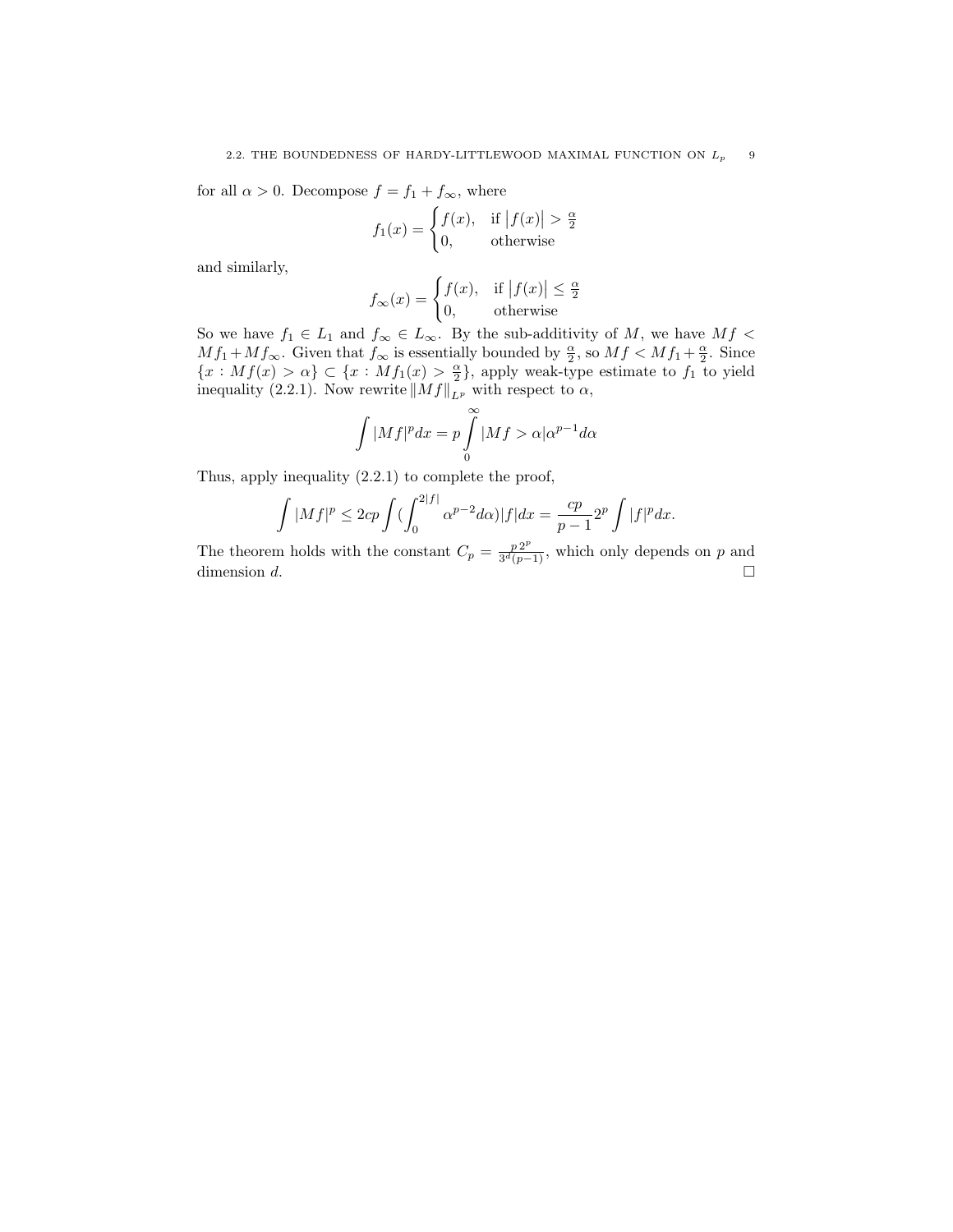for all  $\alpha > 0$ . Decompose  $f = f_1 + f_{\infty}$ , where

$$
f_1(x) = \begin{cases} f(x), & \text{if } |f(x)| > \frac{\alpha}{2} \\ 0, & \text{otherwise} \end{cases}
$$

and similarly,

$$
f_{\infty}(x) = \begin{cases} f(x), & \text{if } |f(x)| \le \frac{\alpha}{2} \\ 0, & \text{otherwise} \end{cases}
$$

So we have  $f_1 \in L_1$  and  $f_{\infty} \in L_{\infty}$ . By the sub-additivity of M, we have  $Mf$  <  $Mf_1 + Mf_{\infty}$ . Given that  $f_{\infty}$  is essentially bounded by  $\frac{\alpha}{2}$ , so  $Mf \lt Mf_1 + \frac{\alpha}{2}$ . Since  ${x : Mf(x) > \alpha} \subset {x : Mf_1(x) > \frac{\alpha}{2}}$ , apply weak-type estimate to  $f_1$  to yield inequality (2.2.1). Now rewrite  $||Mf||_{L^p}$  with respect to  $\alpha$ ,

$$
\int |Mf|^p dx = p \int_{0}^{\infty} |Mf\rangle \propto |\alpha^{p-1} d\alpha
$$

Thus, apply inequality (2.2.1) to complete the proof,

$$
\int |Mf|^p \le 2cp \int \left(\int_0^{2|f|} \alpha^{p-2} d\alpha\right) |f| dx = \frac{cp}{p-1} 2^p \int |f|^p dx.
$$

The theorem holds with the constant  $C_p = \frac{p 2^p}{3^d (p-p)}$  $\frac{p^{2r}}{3^d(p-1)}$ , which only depends on p and dimension d.  $\square$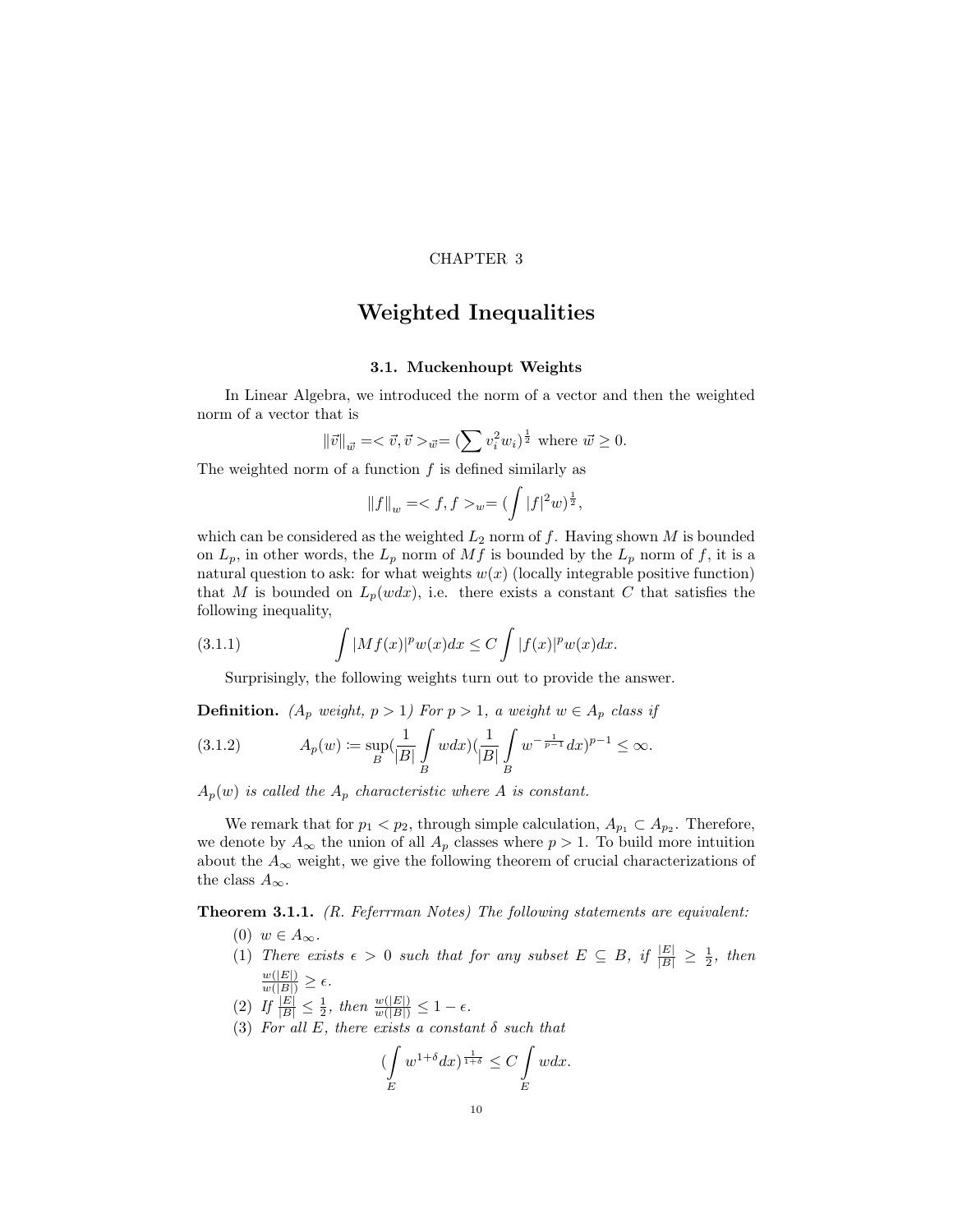### CHAPTER 3

### Weighted Inequalities

### 3.1. Muckenhoupt Weights

In Linear Algebra, we introduced the norm of a vector and then the weighted norm of a vector that is

$$
\|\vec{v}\|_{\vec{w}} = \langle \vec{v}, \vec{v} \rangle_{\vec{w}} = (\sum v_i^2 w_i)^{\frac{1}{2}} \text{ where } \vec{w} \ge 0.
$$

The weighted norm of a function  $f$  is defined similarly as

$$
||f||_{w} = _{w} = (\int |f|^{2}w)^{\frac{1}{2}},
$$

which can be considered as the weighted  $L_2$  norm of f. Having shown M is bounded on  $L_p$ , in other words, the  $L_p$  norm of Mf is bounded by the  $L_p$  norm of f, it is a natural question to ask: for what weights  $w(x)$  (locally integrable positive function) that M is bounded on  $L_p(wdx)$ , i.e. there exists a constant C that satisfies the following inequality,

(3.1.1) 
$$
\int |Mf(x)|^p w(x) dx \leq C \int |f(x)|^p w(x) dx.
$$

Surprisingly, the following weights turn out to provide the answer.

**Definition.** ( $A_p$  weight,  $p > 1$ ) For  $p > 1$ , a weight  $w \in A_p$  class if

(3.1.2) 
$$
A_p(w) := \sup_B \left(\frac{1}{|B|} \int_B w dx\right) \left(\frac{1}{|B|} \int_B w^{-\frac{1}{p-1}} dx\right)^{p-1} \leq \infty.
$$

 $A_p(w)$  is called the  $A_p$  characteristic where A is constant.

We remark that for  $p_1 < p_2$ , through simple calculation,  $A_{p_1} \subset A_{p_2}$ . Therefore, we denote by  $A_{\infty}$  the union of all  $A_p$  classes where  $p > 1$ . To build more intuition about the  $A_{\infty}$  weight, we give the following theorem of crucial characterizations of the class  $A_{\infty}$ .

Theorem 3.1.1. (R. Feferrman Notes) The following statements are equivalent:

- (0)  $w \in A_{\infty}$ .
- (1) There exists  $\epsilon > 0$  such that for any subset  $E \subseteq B$ , if  $\frac{|E|}{|B|} \ge \frac{1}{2}$ , then  $\frac{w(|E|)}{w(|B|)} \geq \epsilon.$
- (2) If  $\frac{|E|}{|B|} \leq \frac{1}{2}$ , then  $\frac{w(|E|)}{w(|B|)} \leq 1 \epsilon$ .
- (3) For all E, there exists a constant  $\delta$  such that

$$
\left(\int\limits_E w^{1+\delta} dx\right)^{\frac{1}{1+\delta}} \le C \int\limits_E w dx.
$$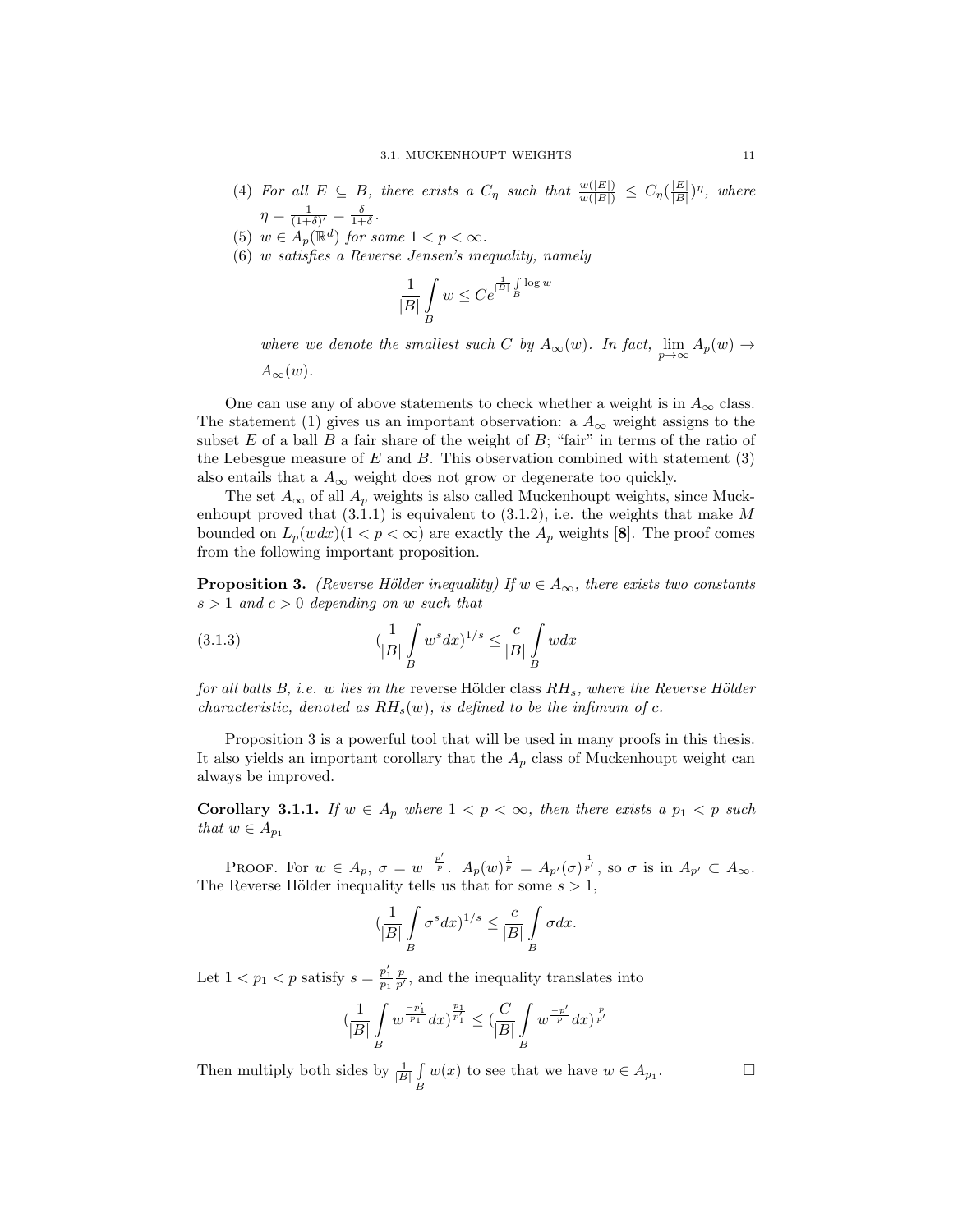- (4) For all  $E \subseteq B$ , there exists a  $C_{\eta}$  such that  $\frac{w(|E|)}{w(|B|)} \leq C_{\eta}(\frac{|E|}{|B|})$  $\frac{|E|}{|B|}$ )<sup>n</sup>, where  $\eta = \frac{1}{(1+\delta)'} = \frac{\delta}{1+\delta}.$
- (5)  $w \in A_p(\mathbb{R}^d)$  for some  $1 < p < \infty$ .
- (6) w satisfies a Reverse Jensen's inequality, namely

$$
\frac{1}{|B|}\int\limits_{B}w\leq Ce^{\frac{1}{|B|}\int\limits_{B}\log w}
$$

where we denote the smallest such C by  $A_{\infty}(w)$ . In fact,  $\lim_{p\to\infty}A_p(w) \to$ 

 $A_\infty(w)$ .

One can use any of above statements to check whether a weight is in  $A_{\infty}$  class. The statement (1) gives us an important observation: a  $A_{\infty}$  weight assigns to the subset  $E$  of a ball  $B$  a fair share of the weight of  $B$ ; "fair" in terms of the ratio of the Lebesgue measure of  $E$  and  $B$ . This observation combined with statement (3) also entails that a  $A_{\infty}$  weight does not grow or degenerate too quickly.

The set  $A_{\infty}$  of all  $A_p$  weights is also called Muckenhoupt weights, since Muckenhoupt proved that  $(3.1.1)$  is equivalent to  $(3.1.2)$ , i.e. the weights that make M bounded on  $L_p(wdx)(1 < p < \infty)$  are exactly the  $A_p$  weights [8]. The proof comes from the following important proposition.

**Proposition 3.** (Reverse Hölder inequality) If  $w \in A_{\infty}$ , there exists two constants  $s > 1$  and  $c > 0$  depending on w such that

(3.1.3) 
$$
\left(\frac{1}{|B|}\int_{B} w^s dx\right)^{1/s} \le \frac{c}{|B|}\int_{B} w dx
$$

for all balls  $B$ , i.e. w lies in the reverse Hölder class  $RH_s$ , where the Reverse Hölder characteristic, denoted as  $RH_s(w)$ , is defined to be the infimum of c.

Proposition 3 is a powerful tool that will be used in many proofs in this thesis. It also yields an important corollary that the  $A_p$  class of Muckenhoupt weight can always be improved.

Corollary 3.1.1. If  $w \in A_p$  where  $1 < p < \infty$ , then there exists a  $p_1 < p$  such that  $w \in A_{p_1}$ 

PROOF. For  $w \in A_p$ ,  $\sigma = w^{-\frac{p'}{p}}$ .  $A_p(w)^{\frac{1}{p}} = A_{p'}(\sigma)^{\frac{1}{p'}}$ , so  $\sigma$  is in  $A_{p'} \subset A_{\infty}$ . The Reverse Hölder inequality tells us that for some  $s > 1$ ,

$$
\left(\frac{1}{|B|}\int\limits_B \sigma^s dx\right)^{1/s} \leq \frac{c}{|B|}\int\limits_B \sigma dx.
$$

Let  $1 < p_1 < p$  satisfy  $s = \frac{p'_1}{p_1} \frac{p}{p'}$ , and the inequality translates into

$$
(\frac{1}{|B|}\int\limits_{B} w^{\frac{-p'_1}{p_1}} dx)^{\frac{p_1}{p'_1}} \leq (\frac{C}{|B|}\int\limits_{B} w^{\frac{-p'}{p}} dx)^{\frac{p}{p'}}
$$

Then multiply both sides by  $\frac{1}{|B|} \int$  $\int\limits_B w(x)$  to see that we have  $w \in A_{p_1}$ 

. — П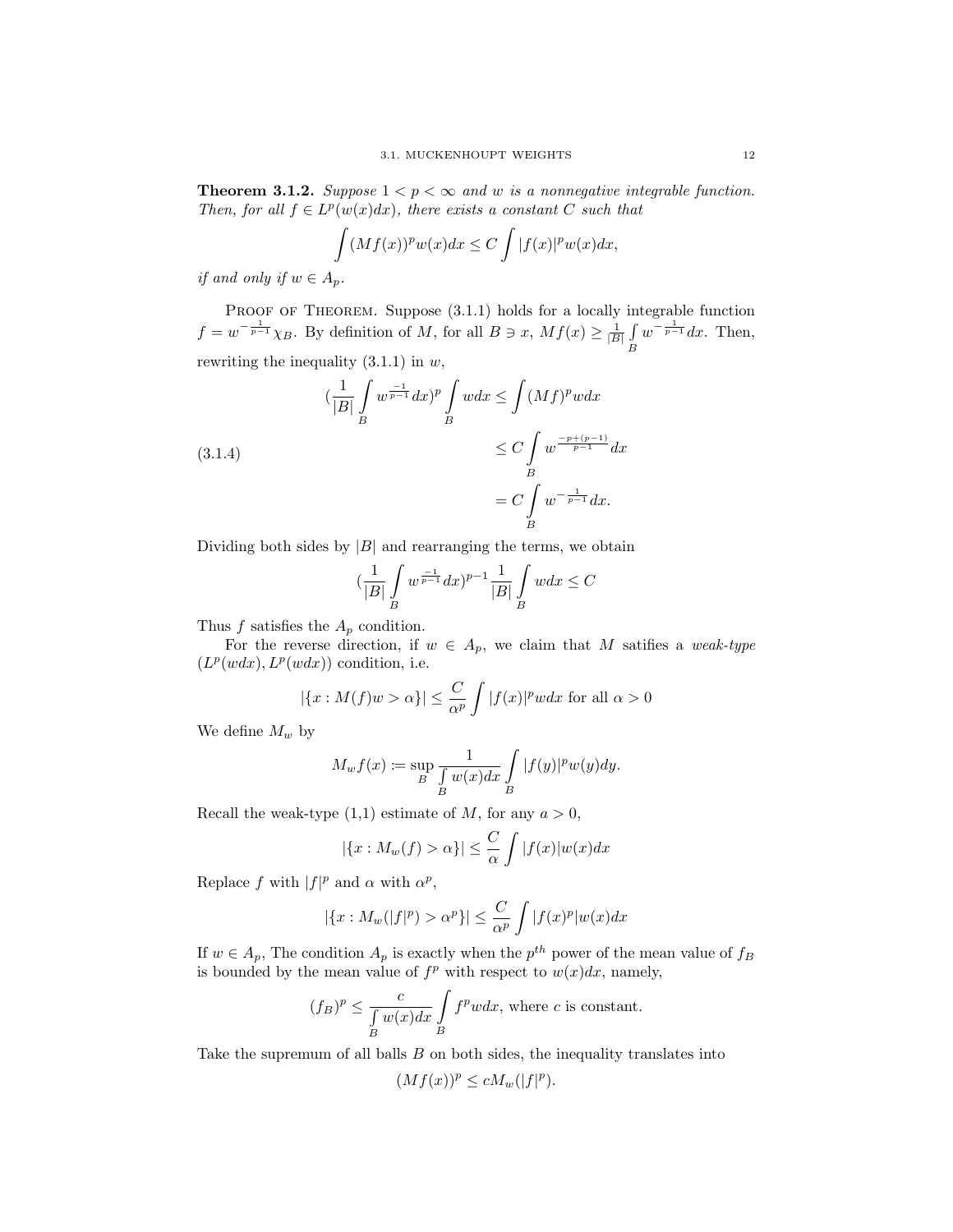**Theorem 3.1.2.** Suppose  $1 < p < \infty$  and w is a nonnegative integrable function. Then, for all  $f \in L^p(w(x)dx)$ , there exists a constant C such that

$$
\int (Mf(x))^p w(x) dx \le C \int |f(x)|^p w(x) dx,
$$

if and only if  $w \in A_n$ .

 $(3.1)$ 

PROOF OF THEOREM. Suppose  $(3.1.1)$  holds for a locally integrable function  $f = w^{-\frac{1}{p-1}} \chi_B$ . By definition of M, for all  $B \ni x$ ,  $Mf(x) \geq \frac{1}{|B|} \int$ B  $w^{-\frac{1}{p-1}}dx$ . Then, rewriting the inequality  $(3.1.1)$  in  $w$ ,

$$
\left(\frac{1}{|B|}\int\limits_B w^{\frac{-1}{p-1}}dx\right)^p \int\limits_B wdx \le \int (Mf)^p wdx
$$
  
1.4)  

$$
\le C \int\limits_B w^{\frac{-p+(p-1)}{p-1}}dx
$$
  

$$
= C \int\limits_B w^{-\frac{1}{p-1}}dx.
$$

Dividing both sides by  $|B|$  and rearranging the terms, we obtain

$$
\left(\frac{1}{|B|}\int\limits_B w^{\frac{-1}{p-1}}dx\right)^{p-1}\frac{1}{|B|}\int\limits_B wdx\leq C
$$

Thus  $f$  satisfies the  $A_p$  condition.

For the reverse direction, if  $w \in A_p$ , we claim that M satifies a weak-type  $(L^p(wdx), L^p(wdx))$  condition, i.e.

$$
|\{x : M(f)w > \alpha\}| \le \frac{C}{\alpha^p} \int |f(x)|^p w dx
$$
 for all  $\alpha > 0$ 

We define  $M_w$  by

$$
M_w f(x) := \sup_B \frac{1}{\int_B w(x) dx} \int_B |f(y)|^p w(y) dy.
$$

Recall the weak-type  $(1,1)$  estimate of M, for any  $a > 0$ ,

$$
|\{x: M_w(f) > \alpha\}| \leq \frac{C}{\alpha} \int |f(x)| w(x) dx
$$

Replace f with  $|f|^p$  and  $\alpha$  with  $\alpha^p$ ,

$$
|\{x: M_w(|f|^p) > \alpha^p\}| \le \frac{C}{\alpha^p} \int |f(x)^p| w(x) dx
$$

If  $w \in A_p$ , The condition  $A_p$  is exactly when the  $p^{th}$  power of the mean value of  $f_B$ is bounded by the mean value of  $f^p$  with respect to  $w(x)dx$ , namely,

$$
(f_B)^p \le \frac{c}{\int_B w(x)dx} \int_B f^p w dx
$$
, where *c* is constant.

Take the supremum of all balls B on both sides, the inequality translates into

$$
(Mf(x))^p \le cM_w(|f|^p).
$$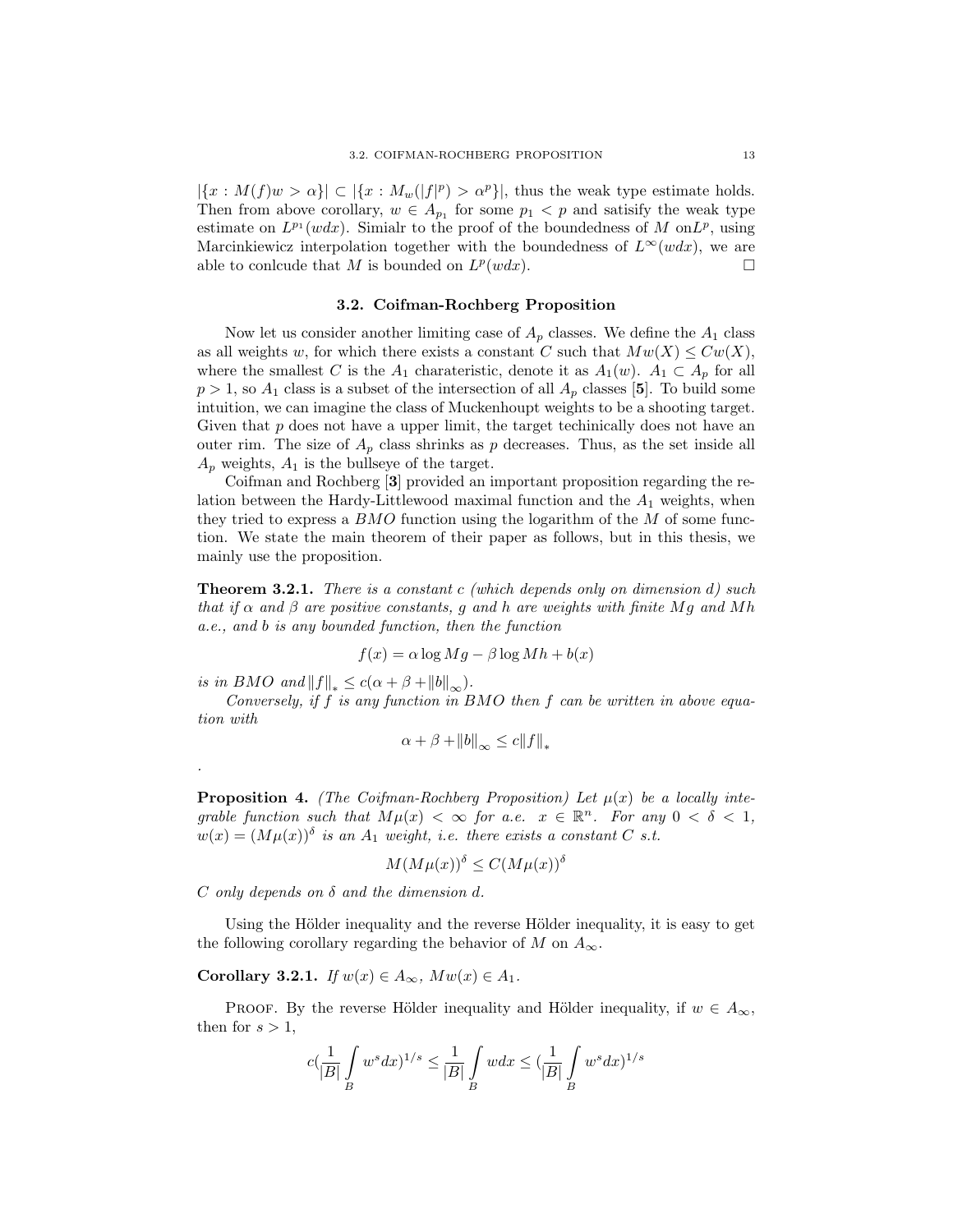$|\{x: M(f)w > \alpha\}| \subset |\{x: M_w(|f|^p) > \alpha^p\}|$ , thus the weak type estimate holds. Then from above corollary,  $w \in A_{p_1}$  for some  $p_1 < p$  and satisify the weak type estimate on  $L^{p_1}(wdx)$ . Simialr to the proof of the boundedness of M on  $L^p$ , using Marcinkiewicz interpolation together with the boundedness of  $L^{\infty}(wdx)$ , we are able to conlcude that M is bounded on  $L^p(wdx)$ .

### 3.2. Coifman-Rochberg Proposition

Now let us consider another limiting case of  $A_p$  classes. We define the  $A_1$  class as all weights w, for which there exists a constant C such that  $Mw(X) \leq Cw(X)$ , where the smallest C is the  $A_1$  charateristic, denote it as  $A_1(w)$ .  $A_1 \subset A_p$  for all  $p > 1$ , so  $A_1$  class is a subset of the intersection of all  $A_p$  classes [5]. To build some intuition, we can imagine the class of Muckenhoupt weights to be a shooting target. Given that  $p$  does not have a upper limit, the target technically does not have an outer rim. The size of  $A_p$  class shrinks as p decreases. Thus, as the set inside all  $A_p$  weights,  $A_1$  is the bullseye of the target.

Coifman and Rochberg [3] provided an important proposition regarding the relation between the Hardy-Littlewood maximal function and the  $A_1$  weights, when they tried to express a BMO function using the logarithm of the M of some function. We state the main theorem of their paper as follows, but in this thesis, we mainly use the proposition.

**Theorem 3.2.1.** There is a constant c (which depends only on dimension  $d$ ) such that if  $\alpha$  and  $\beta$  are positive constants, g and h are weights with finite Mg and Mh a.e., and b is any bounded function, then the function

$$
f(x) = \alpha \log Mg - \beta \log Mh + b(x)
$$

is in BMO and  $||f||_* \leq c(\alpha + \beta + ||b||_{\infty}).$ 

.

Conversely, if  $f$  is any function in BMO then  $f$  can be written in above equation with

$$
\alpha + \beta + ||b||_{\infty} \le c||f||_{*}
$$

**Proposition 4.** (The Coifman-Rochberg Proposition) Let  $\mu(x)$  be a locally integrable function such that  $M\mu(x) < \infty$  for a.e.  $x \in \mathbb{R}^n$ . For any  $0 < \delta < 1$ ,  $w(x) = (M\mu(x))^{\delta}$  is an  $A_1$  weight, i.e. there exists a constant C s.t.

$$
M(M\mu(x))^{\delta} \le C(M\mu(x))^{\delta}
$$

 $C$  only depends on  $\delta$  and the dimension d.

Using the Hölder inequality and the reverse Hölder inequality, it is easy to get the following corollary regarding the behavior of M on  $A_{\infty}$ .

Corollary 3.2.1. If  $w(x) \in A_{\infty}$ ,  $Mw(x) \in A_1$ .

PROOF. By the reverse Hölder inequality and Hölder inequality, if  $w \in A_{\infty}$ , then for  $s > 1$ ,

$$
c(\frac{1}{|B|}\int\limits_B w^s dx)^{1/s} \leq \frac{1}{|B|}\int\limits_B w dx \leq (\frac{1}{|B|}\int\limits_B w^s dx)^{1/s}
$$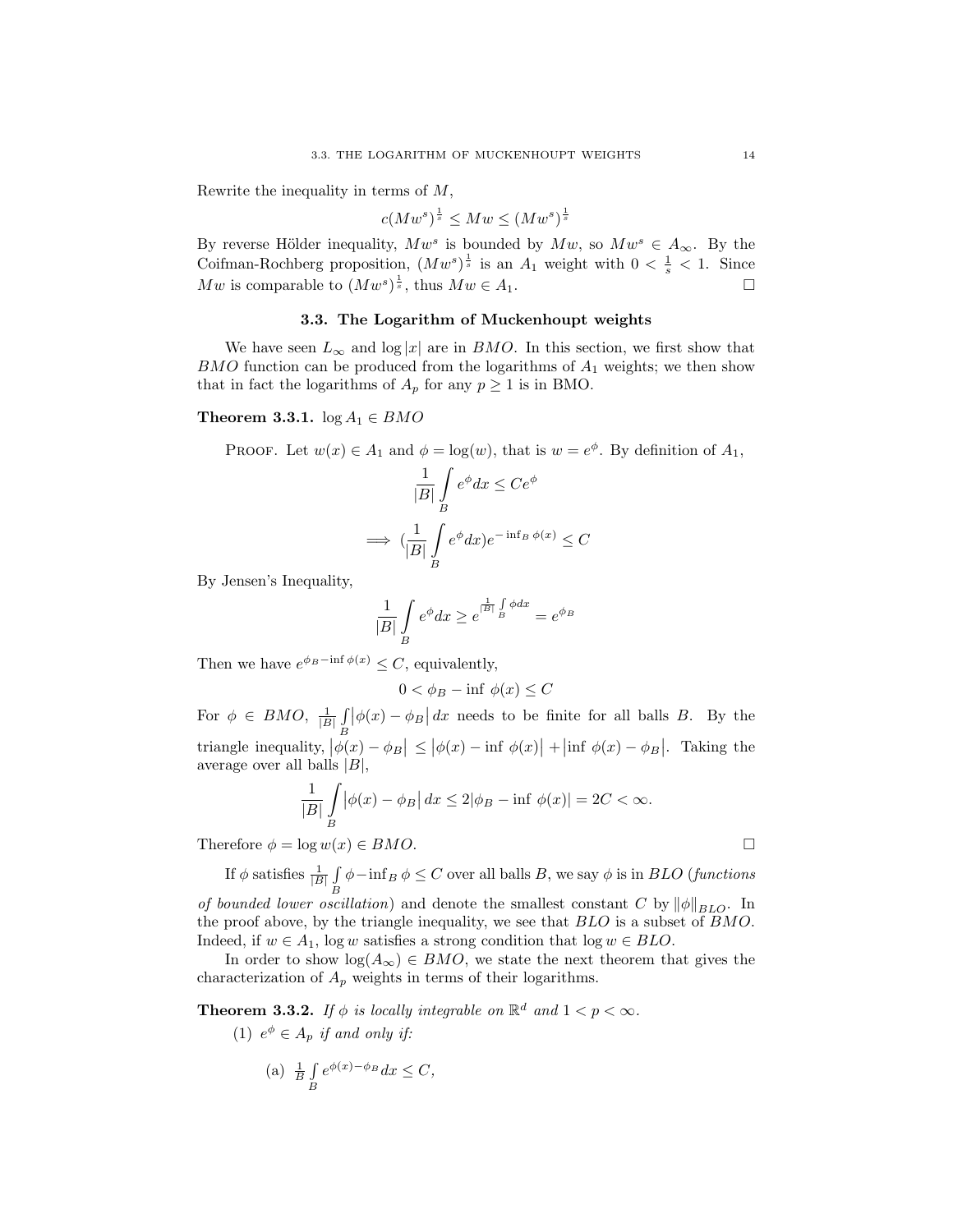Rewrite the inequality in terms of M,

$$
c(Mw^s)^{\frac{1}{s}} \leq Mw \leq (Mw^s)^{\frac{1}{s}}
$$

By reverse Hölder inequality,  $Mw^s$  is bounded by  $Mw$ , so  $Mw^s \in A_{\infty}$ . By the Coifman-Rochberg proposition,  $(Mw^s)^{\frac{1}{s}}$  is an  $A_1$  weight with  $0 < \frac{1}{s} < 1$ . Since  $Mw$  is comparable to  $(Mw^s)^{\frac{1}{s}}$ , thus  $Mw \in A_1$ .

### 3.3. The Logarithm of Muckenhoupt weights

We have seen  $L_{\infty}$  and  $\log |x|$  are in *BMO*. In this section, we first show that  $BMO$  function can be produced from the logarithms of  $A<sub>1</sub>$  weights; we then show that in fact the logarithms of  $A_p$  for any  $p \ge 1$  is in BMO.

#### Theorem 3.3.1.  $\log A_1 \in BMO$

PROOF. Let 
$$
w(x) \in A_1
$$
 and  $\phi = \log(w)$ , that is  $w = e^{\phi}$ . By definition of  $A_1$ ,

$$
\frac{1}{|B|} \int_{B} e^{\phi} dx \le Ce^{\phi}
$$

$$
\implies \left(\frac{1}{|B|} \int_{B} e^{\phi} dx\right) e^{-\inf_{B} \phi(x)} \le C
$$

By Jensen's Inequality,

$$
\frac{1}{|B|} \int\limits_B e^{\phi} dx \ge e^{\frac{1}{|B|} \int\limits_B \phi dx} = e^{\phi_B}
$$

Then we have  $e^{\phi_B - \inf \phi(x)} \leq C$ , equivalently,

$$
0 < \phi_B - \inf \phi(x) \le C
$$

For  $\phi \in BMO$ ,  $\frac{1}{|B|} \int_{B} |\phi(x) - \phi_B| dx$  needs to be finite for all balls B. By the B triangle inequality,  $|\phi(x) - \phi_B| \leq |\phi(x) - \inf \phi(x)| + |\inf \phi(x) - \phi_B|$ . Taking the average over all balls  $|B|$ ,

$$
\frac{1}{|B|} \int\limits_B |\phi(x) - \phi_B| \, dx \le 2|\phi_B - \inf \phi(x)| = 2C < \infty.
$$

Therefore  $\phi = \log w(x) \in BMO$ .

If  $\phi$  satisfies  $\frac{1}{|B|} \underline{f}$  $\int\limits_B \phi - \inf_B \phi \leq C$  over all balls B, we say  $\phi$  is in BLO (functions

of bounded lower oscillation) and denote the smallest constant C by  $\|\phi\|_{BLO}$ . In the proof above, by the triangle inequality, we see that BLO is a subset of BMO. Indeed, if  $w \in A_1$ , log w satisfies a strong condition that  $log w \in BLO$ .

In order to show  $log(A_{\infty}) \in BMO$ , we state the next theorem that gives the characterization of  $A_p$  weights in terms of their logarithms.

**Theorem 3.3.2.** If  $\phi$  is locally integrable on  $\mathbb{R}^d$  and  $1 < p < \infty$ .

(1)  $e^{\phi} \in A_p$  if and only if:

(a) 
$$
\frac{1}{B} \int_{B} e^{\phi(x) - \phi_B} dx \le C
$$
,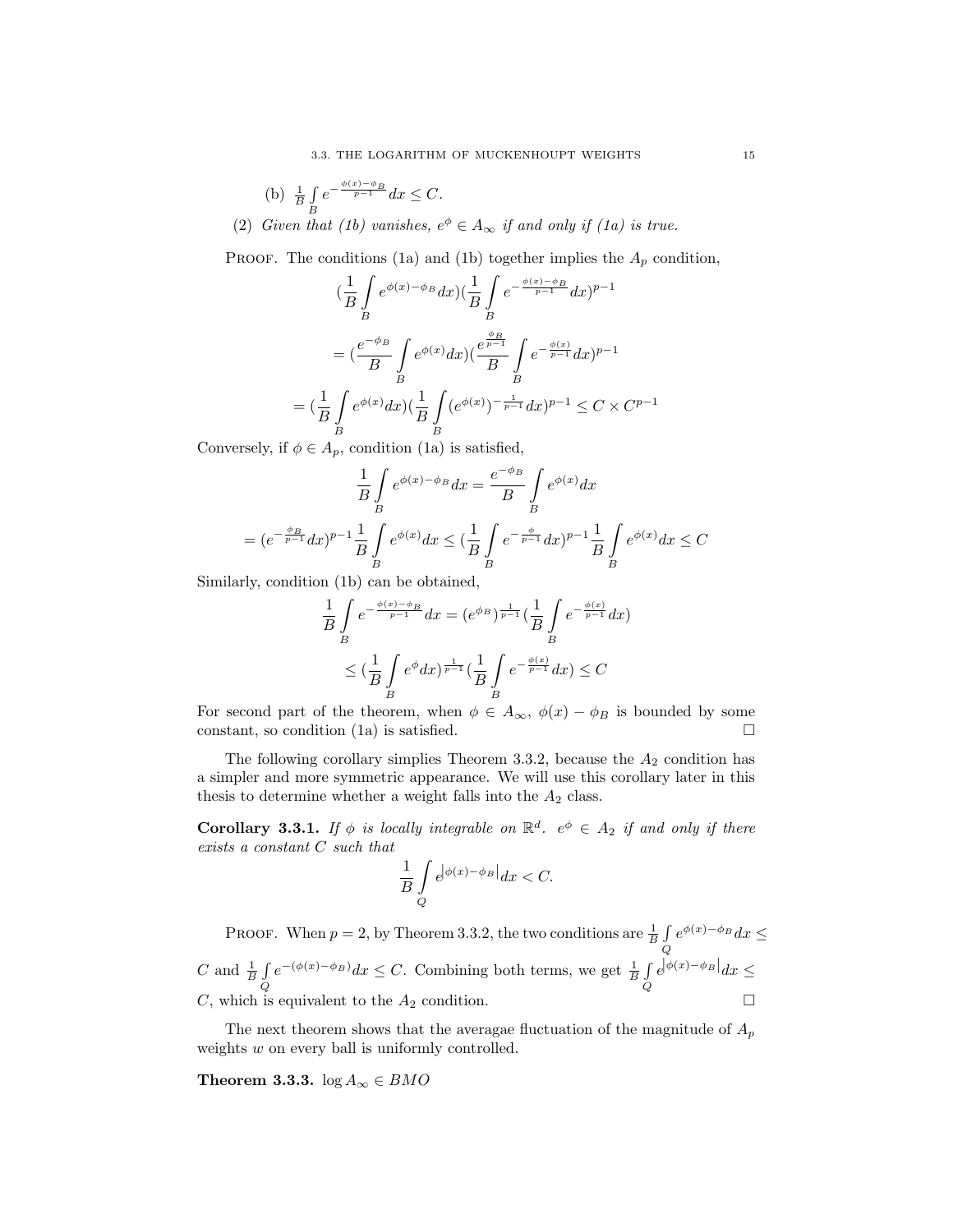(b) 
$$
\frac{1}{B} \int_{B} e^{-\frac{\phi(x) - \phi_B}{p-1}} dx \leq C.
$$

(2) Given that (1b) vanishes,  $e^{\phi} \in A_{\infty}$  if and only if (1a) is true.

PROOF. The conditions (1a) and (1b) together implies the  $A_p$  condition,

$$
\left(\frac{1}{B}\int_{B} e^{\phi(x) - \phi_B} dx\right) \left(\frac{1}{B}\int_{B} e^{-\frac{\phi(x) - \phi_B}{p-1}} dx\right)^{p-1}
$$
\n
$$
= \left(\frac{e^{-\phi_B}}{B}\int_{B} e^{\phi(x)} dx\right) \left(\frac{e^{\phi_B}}{B}\int_{B} e^{-\frac{\phi(x)}{p-1}} dx\right)^{p-1}
$$
\n
$$
= \left(\frac{1}{B}\int_{B} e^{\phi(x)} dx\right) \left(\frac{1}{B}\int_{B} (e^{\phi(x)})^{-\frac{1}{p-1}} dx\right)^{p-1} \leq C \times C^{p-1}
$$

Conversely, if  $\phi \in A_p$ , condition (1a) is satisfied,

$$
\frac{1}{B} \int_{B} e^{\phi(x) - \phi_B} dx = \frac{e^{-\phi_B}}{B} \int_{B} e^{\phi(x)} dx
$$

$$
= (e^{-\frac{\phi_B}{p-1}} dx)^{p-1} \frac{1}{B} \int_{B} e^{\phi(x)} dx \le (\frac{1}{B} \int_{B} e^{-\frac{\phi}{p-1}} dx)^{p-1} \frac{1}{B} \int_{B} e^{\phi(x)} dx \le C
$$

Similarly, condition (1b) can be obtained,

$$
\frac{1}{B} \int_{B} e^{-\frac{\phi(x) - \phi_B}{p-1}} dx = (e^{\phi_B})^{\frac{1}{p-1}} \left(\frac{1}{B} \int_{B} e^{-\frac{\phi(x)}{p-1}} dx\right)
$$

$$
\leq \left(\frac{1}{B} \int_{B} e^{\phi} dx\right)^{\frac{1}{p-1}} \left(\frac{1}{B} \int_{B} e^{-\frac{\phi(x)}{p-1}} dx\right) \leq C
$$

For second part of the theorem, when  $\phi \in A_{\infty}$ ,  $\phi(x) - \phi_B$  is bounded by some constant, so condition (1a) is satisfied.  $\square$ 

The following corollary simplies Theorem 3.3.2, because the  $A_2$  condition has a simpler and more symmetric appearance. We will use this corollary later in this thesis to determine whether a weight falls into the  $A_2$  class.

**Corollary 3.3.1.** If  $\phi$  is locally integrable on  $\mathbb{R}^d$ .  $e^{\phi} \in A_2$  if and only if there exists a constant C such that

$$
\frac{1}{B}\int\limits_{Q}e^{\bigl|\phi(x)-\phi_B\bigr|}dx
$$

PROOF. When  $p = 2$ , by Theorem 3.3.2, the two conditions are  $\frac{1}{B} \int$ Q  $e^{\phi(x)-\phi_B}dx \leq$ C and  $\frac{1}{B}$   $\int$ Q  $e^{-(\phi(x)-\phi_B)}dx \leq C$ . Combining both terms, we get  $\frac{1}{B}\int$ Q  $e^{|\phi(x)-\phi_B|}dx \leq$ C, which is equivalent to the  $A_2$  condition.  $\square$ 

The next theorem shows that the averagae fluctuation of the magnitude of  $A_p$ weights w on every ball is uniformly controlled.

Theorem 3.3.3.  $\log A_{\infty} \in BMO$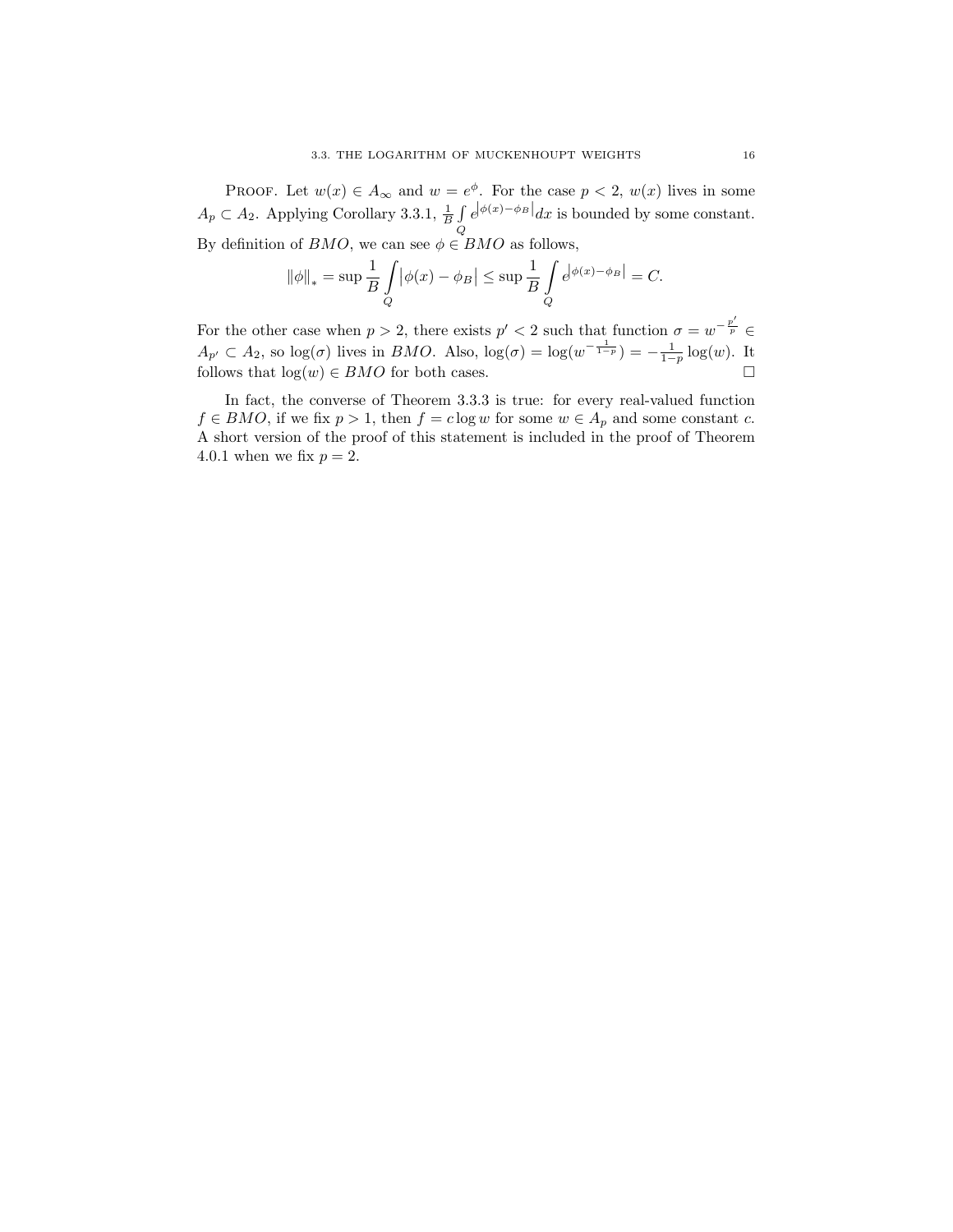PROOF. Let  $w(x) \in A_{\infty}$  and  $w = e^{\phi}$ . For the case  $p < 2$ ,  $w(x)$  lives in some  $A_p \subset A_2$ . Applying Corollary 3.3.1,  $\frac{1}{B} \int$ Q  $e^{|\phi(x)-\phi_B|}dx$  is bounded by some constant. By definition of  $BMO$ , we can see  $\phi \in BMO$  as follows,

$$
\|\phi\|_{*} = \sup \frac{1}{B} \int_{Q} |\phi(x) - \phi_{B}| \le \sup \frac{1}{B} \int_{Q} e^{|\phi(x) - \phi_{B}|} = C.
$$

For the other case when  $p > 2$ , there exists  $p' < 2$  such that function  $\sigma = w^{-\frac{p'}{p}}$  $A_{p'} \subset A_2$ , so  $\log(\sigma)$  lives in *BMO*. Also,  $\log(\sigma) = \log(w^{-\frac{1}{1-p}}) = -\frac{1}{1-p} \log(w)$ . It follows that  $log(w) \in BMO$  for both cases.

In fact, the converse of Theorem 3.3.3 is true: for every real-valued function  $f \in BMO$ , if we fix  $p > 1$ , then  $f = c \log w$  for some  $w \in A_p$  and some constant c. A short version of the proof of this statement is included in the proof of Theorem 4.0.1 when we fix  $p = 2$ .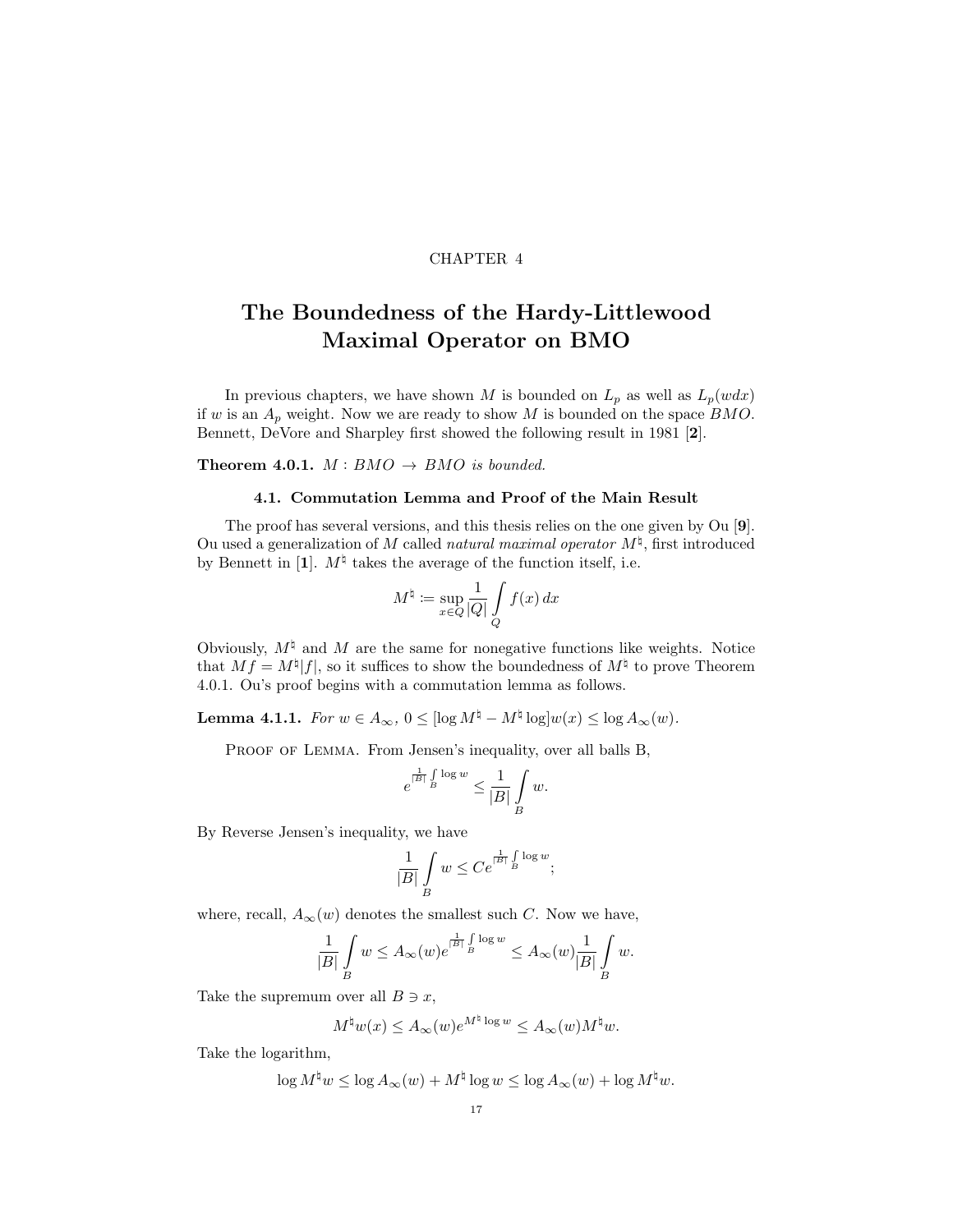### CHAPTER 4

# The Boundedness of the Hardy-Littlewood Maximal Operator on BMO

In previous chapters, we have shown M is bounded on  $L_p$  as well as  $L_p(wdx)$ if w is an  $A_p$  weight. Now we are ready to show M is bounded on the space  $BMO$ . Bennett, DeVore and Sharpley first showed the following result in 1981 [2].

Theorem 4.0.1.  $M: BMO \rightarrow BMO$  is bounded.

### 4.1. Commutation Lemma and Proof of the Main Result

The proof has several versions, and this thesis relies on the one given by Ou [9]. Ou used a generalization of M called natural maximal operator  $M^{\natural}$ , first introduced by Bennett in [1].  $M^{\natural}$  takes the average of the function itself, i.e.

$$
M^{\natural} \coloneqq \sup_{x \in Q} \frac{1}{|Q|} \int\limits_{Q} f(x) \, dx
$$

Obviously,  $M^\natural$  and M are the same for nonegative functions like weights. Notice that  $Mf = M^{\natural}|f|$ , so it suffices to show the boundedness of  $M^{\natural}$  to prove Theorem 4.0.1. Ou's proof begins with a commutation lemma as follows.

**Lemma 4.1.1.** For  $w \in A_{\infty}$ ,  $0 \leq [\log M^{\natural} - M^{\natural} \log] w(x) \leq \log A_{\infty}(w)$ .

PROOF OF LEMMA. From Jensen's inequality, over all balls B,

$$
e^{\frac{1}{|B|}\int\limits_B\log w}\leq \frac{1}{|B|}\int\limits_B w.
$$

By Reverse Jensen's inequality, we have

$$
\frac{1}{|B|} \int\limits_{B} w \leq Ce^{\frac{1}{|B|} \int\limits_{B} \log w};
$$

where, recall,  $A_{\infty}(w)$  denotes the smallest such C. Now we have,

$$
\frac{1}{|B|}\int\limits_{B} w\leq A_\infty(w)e^{\frac{1}{|B|}\int\limits_{B}\log w}\leq A_\infty(w)\frac{1}{|B|}\int\limits_{B} w.
$$

Take the supremum over all  $B \ni x$ ,

$$
M^{\natural}w(x) \leq A_{\infty}(w)e^{M^{\natural}\log w} \leq A_{\infty}(w)M^{\natural}w.
$$

Take the logarithm,

$$
\log M^{\natural}w \leq \log A_{\infty}(w) + M^{\natural} \log w \leq \log A_{\infty}(w) + \log M^{\natural}w.
$$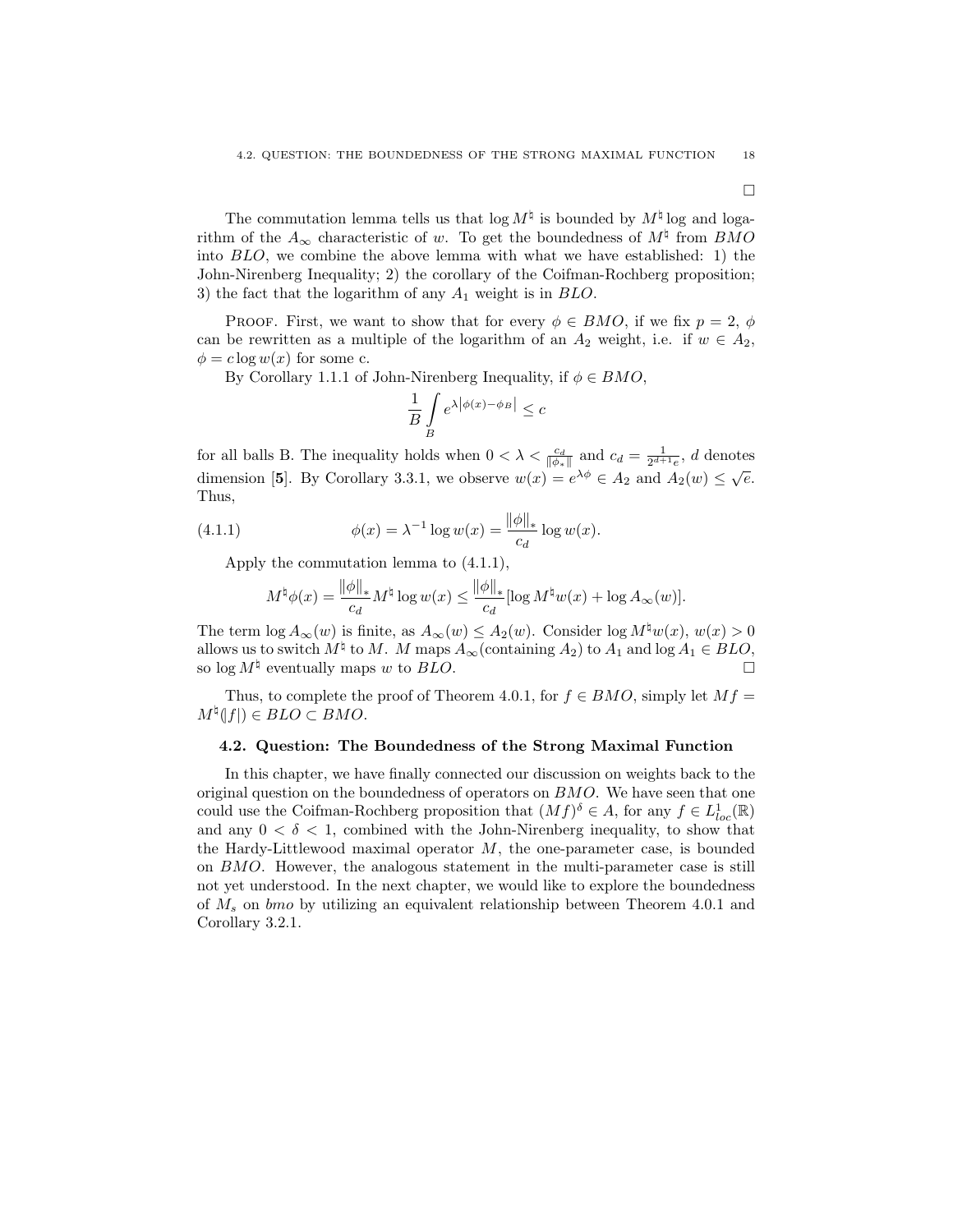The commutation lemma tells us that  $\log M^{\natural}$  is bounded by  $M^{\natural}$  log and logarithm of the  $A_{\infty}$  characteristic of w. To get the boundedness of  $M^{\natural}$  from  $BMO$ into BLO, we combine the above lemma with what we have established: 1) the John-Nirenberg Inequality; 2) the corollary of the Coifman-Rochberg proposition; 3) the fact that the logarithm of any  $A_1$  weight is in  $BLO$ .

PROOF. First, we want to show that for every  $\phi \in BMO$ , if we fix  $p = 2$ ,  $\phi$ can be rewritten as a multiple of the logarithm of an  $A_2$  weight, i.e. if  $w \in A_2$ ,  $\phi = c \log w(x)$  for some c.

By Corollary 1.1.1 of John-Nirenberg Inequality, if  $\phi \in BMO$ ,

$$
\frac{1}{B} \int\limits_B e^{\lambda |\phi(x) - \phi_B|} \le c
$$

for all balls B. The inequality holds when  $0 < \lambda < \frac{c_d}{\|\phi_*\|}$  and  $c_d = \frac{1}{2^{d+1}e}$ , d denotes dimension [5]. By Corollary 3.3.1, we observe  $w(x) = e^{\lambda \phi} \in A_2$  and  $A_2(w) \le \sqrt{e}$ . Thus,

(4.1.1) 
$$
\phi(x) = \lambda^{-1} \log w(x) = \frac{\|\phi\|_{*}}{c_{d}} \log w(x).
$$

Apply the commutation lemma to (4.1.1),

$$
M^{\natural}\phi(x) = \frac{\|\phi\|_{*}}{c_{d}}M^{\natural}\log w(x) \le \frac{\|\phi\|_{*}}{c_{d}}[\log M^{\natural}w(x) + \log A_{\infty}(w)].
$$

The term  $\log A_{\infty}(w)$  is finite, as  $A_{\infty}(w) \leq A_2(w)$ . Consider  $\log M^{\sharp}w(x)$ ,  $w(x) > 0$ allows us to switch  $M^{\natural}$  to M. M maps  $A_{\infty}$  (containing  $A_2$ ) to  $A_1$  and log  $A_1 \in BLO$ , so  $\log M^{\natural}$  eventually maps w to BLO.

Thus, to complete the proof of Theorem 4.0.1, for  $f \in BMO$ , simply let  $Mf =$  $M^{\natural}(f|) \in BLO \subset BMO.$ 

### 4.2. Question: The Boundedness of the Strong Maximal Function

In this chapter, we have finally connected our discussion on weights back to the original question on the boundedness of operators on BMO. We have seen that one could use the Coifman-Rochberg proposition that  $(Mf)^{\delta} \in A$ , for any  $f \in L^1_{loc}(\mathbb{R})$ and any  $0 < \delta < 1$ , combined with the John-Nirenberg inequality, to show that the Hardy-Littlewood maximal operator  $M$ , the one-parameter case, is bounded on BMO. However, the analogous statement in the multi-parameter case is still not yet understood. In the next chapter, we would like to explore the boundedness of  $M_s$  on bmo by utilizing an equivalent relationship between Theorem 4.0.1 and Corollary 3.2.1.

 $\Box$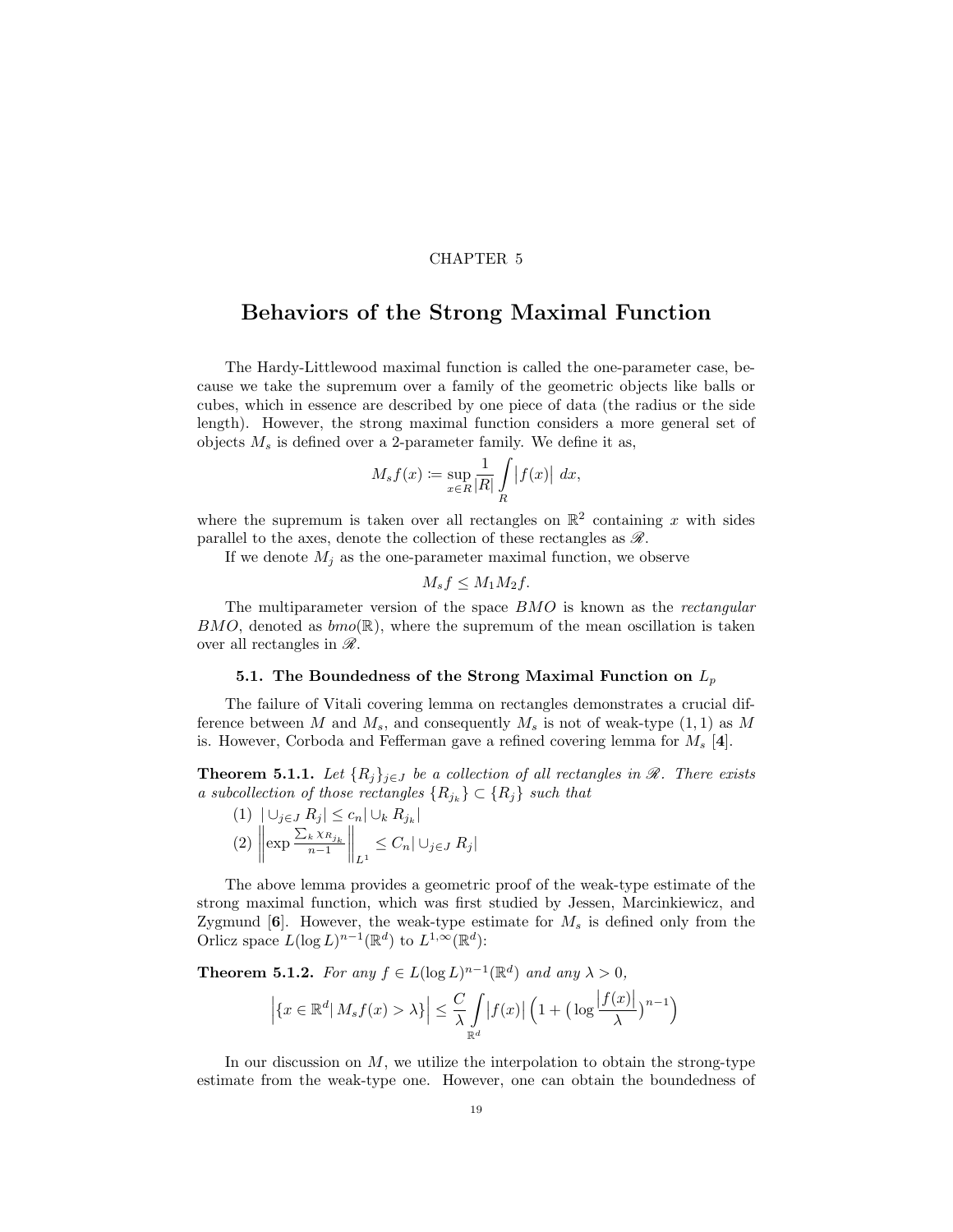### CHAPTER 5

### Behaviors of the Strong Maximal Function

The Hardy-Littlewood maximal function is called the one-parameter case, because we take the supremum over a family of the geometric objects like balls or cubes, which in essence are described by one piece of data (the radius or the side length). However, the strong maximal function considers a more general set of objects  $M_s$  is defined over a 2-parameter family. We define it as,

$$
M_s f(x) := \sup_{x \in R} \frac{1}{|R|} \int_R |f(x)| dx,
$$

where the supremum is taken over all rectangles on  $\mathbb{R}^2$  containing x with sides parallel to the axes, denote the collection of these rectangles as  $\mathscr{R}$ .

If we denote  $M_i$  as the one-parameter maximal function, we observe

$$
M_s f \le M_1 M_2 f.
$$

The multiparameter version of the space BMO is known as the rectangular  $BMO$ , denoted as  $bmo(\mathbb{R})$ , where the supremum of the mean oscillation is taken over all rectangles in  $\mathscr{R}$ .

### 5.1. The Boundedness of the Strong Maximal Function on  $L_p$

The failure of Vitali covering lemma on rectangles demonstrates a crucial difference between M and  $M_s$ , and consequently  $M_s$  is not of weak-type  $(1, 1)$  as M is. However, Corboda and Fefferman gave a refined covering lemma for  $M_s$  [4].

**Theorem 5.1.1.** Let  $\{R_i\}_{i\in J}$  be a collection of all rectangles in  $\mathcal{R}$ . There exists a subcollection of those rectangles  $\{R_{j_k}\}\subset \{R_j\}$  such that

$$
(1) \quad \left| \bigcup_{j \in J} R_j \right| \leq c_n \left| \bigcup_k R_{j_k} \right|
$$
\n
$$
(2) \quad \left| \exp \frac{\sum_k \chi_{R_{j_k}}}{n-1} \right| \left| \sum_{L^1} \leq C_n \left| \bigcup_{j \in J} R_j \right| \right|
$$

The above lemma provides a geometric proof of the weak-type estimate of the strong maximal function, which was first studied by Jessen, Marcinkiewicz, and Zygmund  $[6]$ . However, the weak-type estimate for  $M_s$  is defined only from the Orlicz space  $L(\log L)^{n-1}(\mathbb{R}^d)$  to  $L^{1,\infty}(\mathbb{R}^d)$ :

**Theorem 5.1.2.** For any  $f \in L(\log L)^{n-1}(\mathbb{R}^d)$  and any  $\lambda > 0$ ,

$$
\left| \{ x \in \mathbb{R}^d \mid M_s f(x) > \lambda \} \right| \leq \frac{C}{\lambda} \int_{\mathbb{R}^d} \left| f(x) \right| \left( 1 + \left( \log \frac{\left| f(x) \right|}{\lambda} \right)^{n-1} \right)
$$

In our discussion on  $M$ , we utilize the interpolation to obtain the strong-type estimate from the weak-type one. However, one can obtain the boundedness of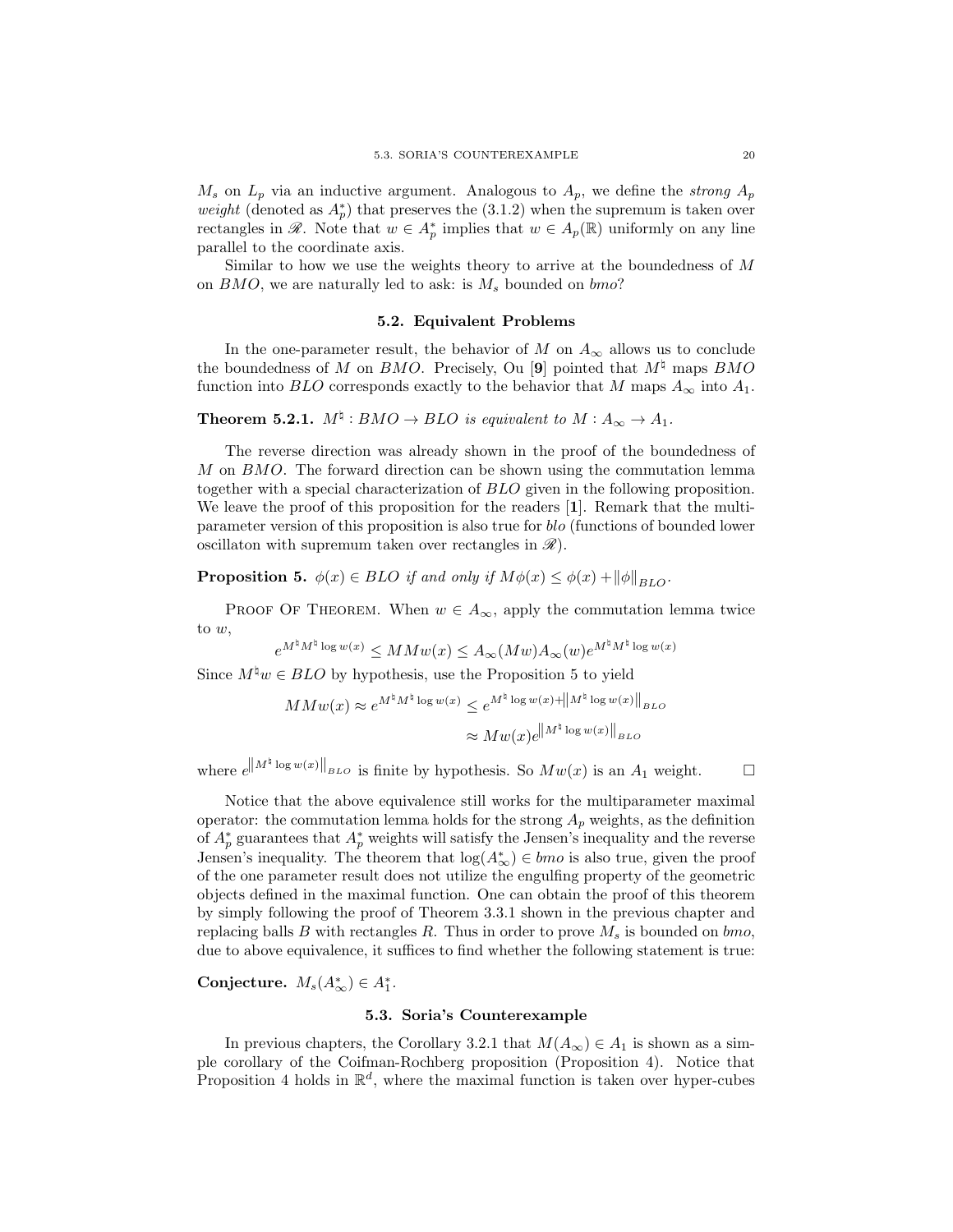$M_s$  on  $L_p$  via an inductive argument. Analogous to  $A_p$ , we define the strong  $A_p$ *weight* (denoted as  $A_p^*$ ) that preserves the (3.1.2) when the supremum is taken over rectangles in  $\mathscr{R}$ . Note that  $w \in A_p^*$  implies that  $w \in A_p(\mathbb{R})$  uniformly on any line parallel to the coordinate axis.

Similar to how we use the weights theory to arrive at the boundedness of M on  $BMO$ , we are naturally led to ask: is  $M_s$  bounded on  $bmo$ ?

#### 5.2. Equivalent Problems

In the one-parameter result, the behavior of M on  $A_{\infty}$  allows us to conclude the boundedness of M on BMO. Precisely, Ou [9] pointed that  $M^{\dagger}$  maps BMO function into *BLO* corresponds exactly to the behavior that M maps  $A_{\infty}$  into  $A_1$ .

**Theorem 5.2.1.**  $M^{\natural}: BMO \to BLO$  is equivalent to  $M: A_{\infty} \to A_1$ .

The reverse direction was already shown in the proof of the boundedness of M on BMO. The forward direction can be shown using the commutation lemma together with a special characterization of BLO given in the following proposition. We leave the proof of this proposition for the readers [1]. Remark that the multiparameter version of this proposition is also true for blo (functions of bounded lower oscillaton with supremum taken over rectangles in  $\mathcal{R}$ ).

**Proposition 5.**  $\phi(x) \in BLO$  if and only if  $M\phi(x) \leq \phi(x) + ||\phi||_{BLO}$ .

PROOF OF THEOREM. When  $w \in A_{\infty}$ , apply the commutation lemma twice to w,

$$
e^{M^{\natural} M^{\natural} \log w(x)} \leq MMw(x) \leq A_{\infty} (Mw) A_{\infty}(w) e^{M^{\natural} M^{\natural} \log w(x)}
$$

Since  $M^{\natural}w \in BLO$  by hypothesis, use the Proposition 5 to yield

$$
MMw(x) \approx e^{M^{\natural} M^{\natural} \log w(x)} \le e^{M^{\natural} \log w(x) + ||M^{\natural} \log w(x)||_{BLO}}
$$

$$
\approx Mw(x)e^{||M^{\natural} \log w(x)||_{BLO}}
$$

where  $e^{||M^{\natural} \log w(x)||_{BLO}}$  is finite by hypothesis. So  $Mw(x)$  is an  $A_1$  weight.  $\square$ 

Notice that the above equivalence still works for the multiparameter maximal operator: the commutation lemma holds for the strong  $A_p$  weights, as the definition of  $A_p^*$  guarantees that  $A_p^*$  weights will satisfy the Jensen's inequality and the reverse Jensen's inequality. The theorem that  $log(A_{\infty}^*) \in bmo$  is also true, given the proof of the one parameter result does not utilize the engulfing property of the geometric objects defined in the maximal function. One can obtain the proof of this theorem by simply following the proof of Theorem 3.3.1 shown in the previous chapter and replacing balls B with rectangles R. Thus in order to prove  $M_s$  is bounded on bmo, due to above equivalence, it suffices to find whether the following statement is true:

Conjecture.  $M_s(A^*_{\infty}) \in A^*_1$ .

### 5.3. Soria's Counterexample

In previous chapters, the Corollary 3.2.1 that  $M(A_{\infty}) \in A_1$  is shown as a simple corollary of the Coifman-Rochberg proposition (Proposition 4). Notice that Proposition 4 holds in  $\mathbb{R}^d$ , where the maximal function is taken over hyper-cubes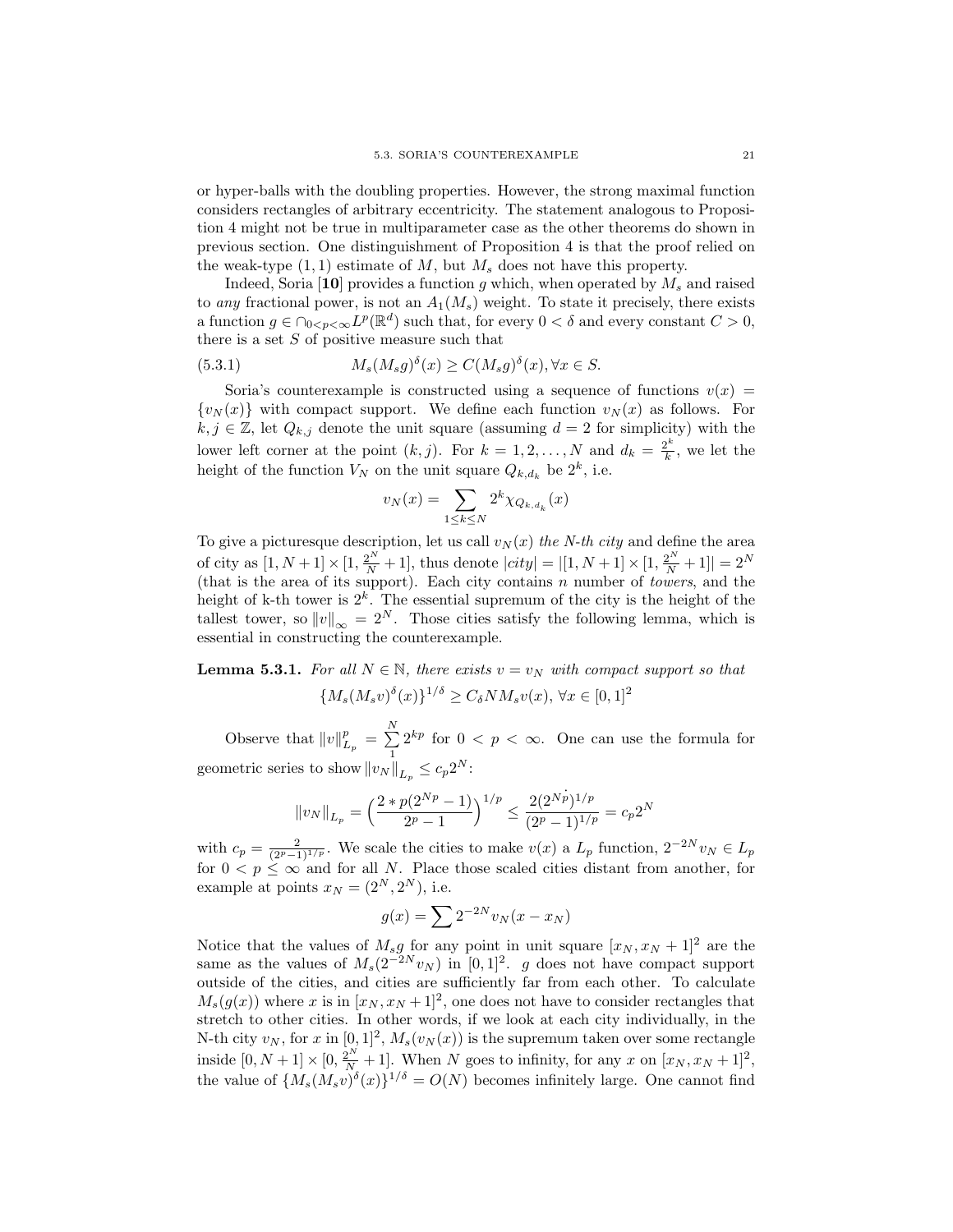or hyper-balls with the doubling properties. However, the strong maximal function considers rectangles of arbitrary eccentricity. The statement analogous to Proposition 4 might not be true in multiparameter case as the other theorems do shown in previous section. One distinguishment of Proposition 4 is that the proof relied on the weak-type  $(1, 1)$  estimate of M, but  $M_s$  does not have this property.

Indeed, Soria [10] provides a function g which, when operated by  $M_s$  and raised to any fractional power, is not an  $A_1(M_s)$  weight. To state it precisely, there exists a function  $g \in \bigcap_{0 \le p < \infty} L^p(\mathbb{R}^d)$  such that, for every  $0 < \delta$  and every constant  $C > 0$ , there is a set  $S$  of positive measure such that

(5.3.1) 
$$
M_s(M_s g)^{\delta}(x) \ge C(M_s g)^{\delta}(x), \forall x \in S.
$$

Soria's counterexample is constructed using a sequence of functions  $v(x) =$  $\{v_N(x)\}\$  with compact support. We define each function  $v_N(x)$  as follows. For  $k, j \in \mathbb{Z}$ , let  $Q_{k,j}$  denote the unit square (assuming  $d = 2$  for simplicity) with the lower left corner at the point  $(k, j)$ . For  $k = 1, 2, ..., N$  and  $d_k = \frac{2^k}{k}$  $\frac{2^{k}}{k}$ , we let the height of the function  $V_N$  on the unit square  $Q_{k,d_k}$  be  $2^k$ , i.e.

$$
v_N(x) = \sum_{1 \le k \le N} 2^k \chi_{Q_{k,d_k}}(x)
$$

To give a picture sque description, let us call  $v<sub>N</sub>(x)$  the N-th city and define the area of city as  $[1, N+1] \times [1, \frac{2^N}{N} + 1]$ , thus denote  $|city| = |[1, N+1] \times [1, \frac{2^N}{N} + 1]| = 2^N$ (that is the area of its support). Each city contains  $n$  number of *towers*, and the height of k-th tower is  $2^k$ . The essential supremum of the city is the height of the tallest tower, so  $||v||_{\infty} = 2^N$ . Those cities satisfy the following lemma, which is essential in constructing the counterexample.

**Lemma 5.3.1.** For all  $N \in \mathbb{N}$ , there exists  $v = v_N$  with compact support so that  ${M_s(M_s v)^{\delta}(x)}^{1/\delta} \geq C_{\delta} N M_s v(x), \forall x \in [0,1]^2$ 

Observe that  $||v||_{L_p}^p = \sum_{i=1}^N$  $\sum_{1} 2^{kp}$  for  $0 < p < \infty$ . One can use the formula for geometric series to show  $||v_N||_{L_p} \leq c_p 2^N$ :

$$
\|v_N\|_{L_p}=\Big(\frac{2*p(2^{Np}-1)}{2^p-1}\Big)^{1/p}\leq \frac{2(2^{Np})^{1/p}}{(2^p-1)^{1/p}}=c_p2^N
$$

with  $c_p = \frac{2}{(2^p-1)^{1/p}}$ . We scale the cities to make  $v(x)$  a  $L_p$  function,  $2^{-2N}v_N \in L_p$ for  $0 < p \leq \infty$  and for all N. Place those scaled cities distant from another, for example at points  $x_N = (2^N, 2^N)$ , i.e.

$$
g(x) = \sum 2^{-2N} v_N(x - x_N)
$$

Notice that the values of  $M_s g$  for any point in unit square  $[x_N, x_N + 1]^2$  are the same as the values of  $M_s(2^{-2N}v_N)$  in [0,1]<sup>2</sup>. g does not have compact support outside of the cities, and cities are sufficiently far from each other. To calculate  $M_s(g(x))$  where x is in  $[x_N, x_N + 1]^2$ , one does not have to consider rectangles that stretch to other cities. In other words, if we look at each city individually, in the N-th city  $v_N$ , for x in  $[0,1]^2$ ,  $M_s(v_N(x))$  is the supremum taken over some rectangle inside  $[0, N+1] \times [0, \frac{2^N}{N}+1]$ . When N goes to infinity, for any x on  $[x_N, x_N+1]^2$ , the value of  ${M_s(M_s v)^{\delta}(x)}^{1/\delta} = O(N)$  becomes infinitely large. One cannot find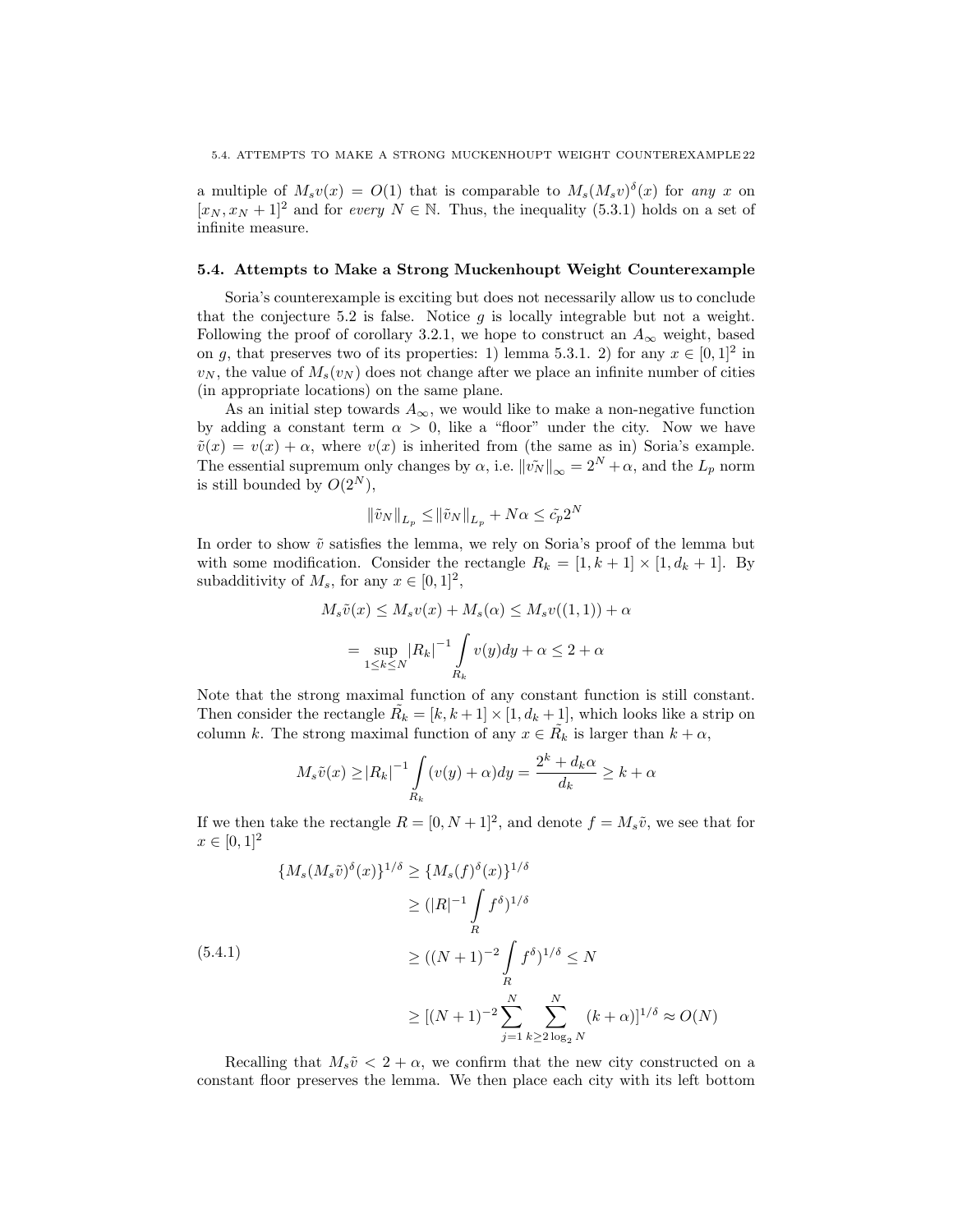a multiple of  $M_s v(x) = O(1)$  that is comparable to  $M_s (M_s v)^{\delta}(x)$  for any x on  $[x_N, x_N + 1]^2$  and for every  $N \in \mathbb{N}$ . Thus, the inequality (5.3.1) holds on a set of infinite measure.

#### 5.4. Attempts to Make a Strong Muckenhoupt Weight Counterexample

Soria's counterexample is exciting but does not necessarily allow us to conclude that the conjecture 5.2 is false. Notice  $q$  is locally integrable but not a weight. Following the proof of corollary 3.2.1, we hope to construct an  $A_{\infty}$  weight, based on g, that preserves two of its properties: 1) lemma 5.3.1. 2) for any  $x \in [0,1]^2$  in  $v_N$ , the value of  $M_s(v_N)$  does not change after we place an infinite number of cities (in appropriate locations) on the same plane.

As an initial step towards  $A_{\infty}$ , we would like to make a non-negative function by adding a constant term  $\alpha > 0$ , like a "floor" under the city. Now we have  $\tilde{v}(x) = v(x) + \alpha$ , where  $v(x)$  is inherited from (the same as in) Soria's example. The essential supremum only changes by  $\alpha$ , i.e.  $\|\tilde{v_N}\|_{\infty} = 2^N + \alpha$ , and the  $L_p$  norm is still bounded by  $O(2^N)$ ,

$$
\|\tilde{v}_N\|_{L_p} \le \|\tilde{v}_N\|_{L_p} + N\alpha \le \tilde{c}_p 2^N
$$

In order to show  $\tilde{v}$  satisfies the lemma, we rely on Soria's proof of the lemma but with some modification. Consider the rectangle  $R_k = [1, k+1] \times [1, d_k + 1]$ . By subadditivity of  $M_s$ , for any  $x \in [0,1]^2$ ,

$$
M_s \tilde{v}(x) \le M_s v(x) + M_s(\alpha) \le M_s v((1,1)) + \alpha
$$
  
= 
$$
\sup_{1 \le k \le N} |R_k|^{-1} \int_{R_k} v(y) dy + \alpha \le 2 + \alpha
$$

Note that the strong maximal function of any constant function is still constant. Then consider the rectangle  $\tilde{R_k} = [k, k+1] \times [1, d_k + 1]$ , which looks like a strip on column k. The strong maximal function of any  $x \in \tilde{R_k}$  is larger than  $k + \alpha$ ,

$$
M_s \tilde{v}(x) \ge |R_k|^{-1} \int_{R_k} (v(y) + \alpha) dy = \frac{2^k + d_k \alpha}{d_k} \ge k + \alpha
$$

If we then take the rectangle  $R = [0, N + 1]^2$ , and denote  $f = M_s \tilde{v}$ , we see that for  $x \in [0, 1]^2$ 

$$
\{M_s(M_s\tilde{v})^{\delta}(x)\}^{1/\delta} \ge \{M_s(f)^{\delta}(x)\}^{1/\delta}
$$
  
\n
$$
\ge (|R|^{-1} \int_R f^{\delta})^{1/\delta}
$$
  
\n
$$
\ge ((N+1)^{-2} \int_R f^{\delta})^{1/\delta} \le N
$$
  
\n
$$
\ge [(N+1)^{-2} \sum_{j=1}^N \sum_{k \ge 2 \log_2 N} (k+\alpha)]^{1/\delta} \approx O(N)
$$

Recalling that  $M_s\tilde{v} < 2 + \alpha$ , we confirm that the new city constructed on a constant floor preserves the lemma. We then place each city with its left bottom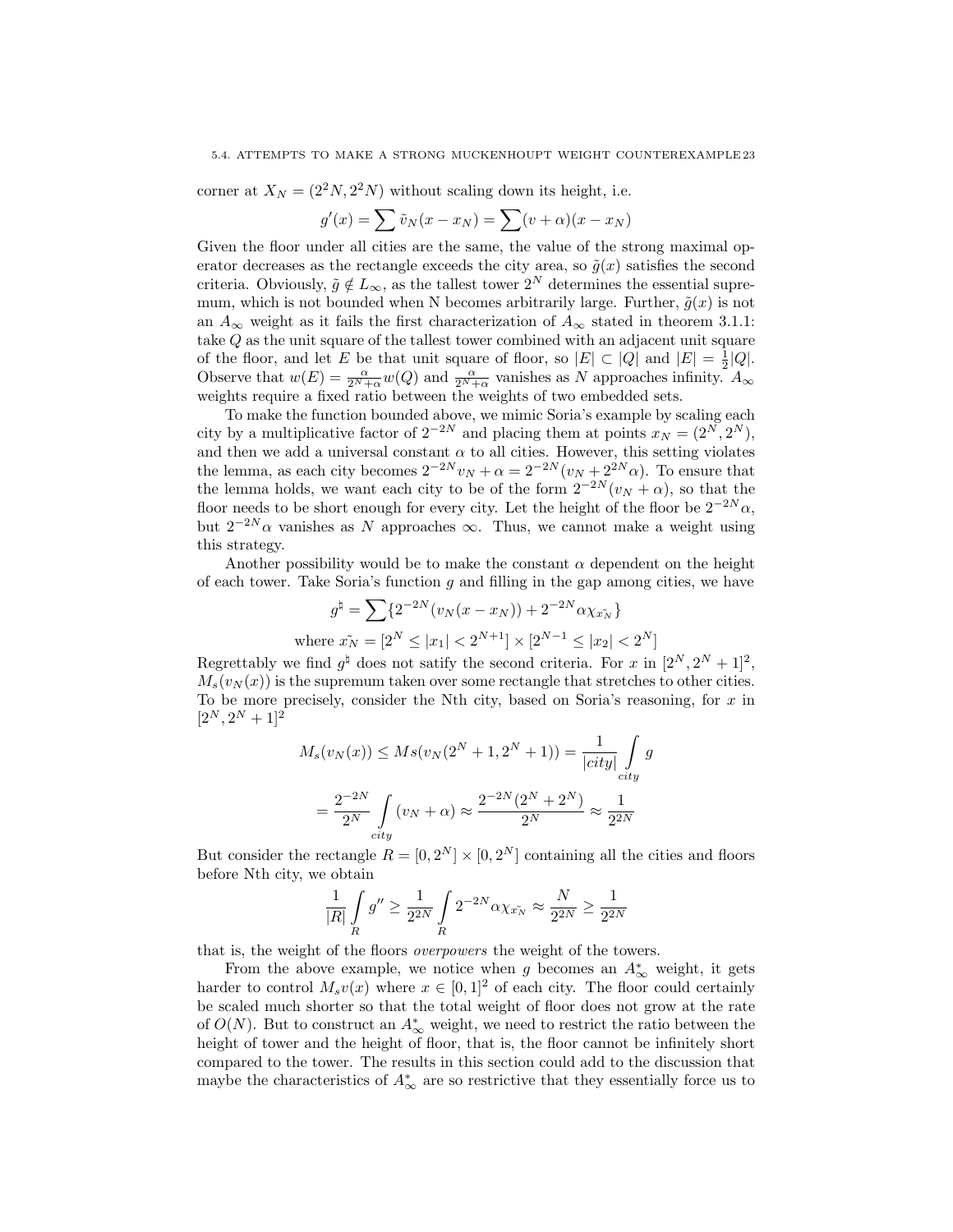corner at  $X_N = (2^2N, 2^2N)$  without scaling down its height, i.e.

$$
g'(x) = \sum \tilde{v}_N(x - x_N) = \sum (v + \alpha)(x - x_N)
$$

Given the floor under all cities are the same, the value of the strong maximal operator decreases as the rectangle exceeds the city area, so  $\tilde{g}(x)$  satisfies the second criteria. Obviously,  $\tilde{g} \notin L_{\infty}$ , as the tallest tower  $2^N$  determines the essential supremum, which is not bounded when N becomes arbitrarily large. Further,  $\tilde{g}(x)$  is not an  $A_{\infty}$  weight as it fails the first characterization of  $A_{\infty}$  stated in theorem 3.1.1: take Q as the unit square of the tallest tower combined with an adjacent unit square of the floor, and let E be that unit square of floor, so  $|E| \subset |Q|$  and  $|E| = \frac{1}{2}|Q|$ . Observe that  $w(E) = \frac{\alpha}{2^N + \alpha} w(Q)$  and  $\frac{\alpha}{2^N + \alpha}$  vanishes as N approaches infinity.  $A_{\infty}$ weights require a fixed ratio between the weights of two embedded sets.

To make the function bounded above, we mimic Soria's example by scaling each city by a multiplicative factor of  $2^{-2N}$  and placing them at points  $x_N = (2^N, 2^N)$ , and then we add a universal constant  $\alpha$  to all cities. However, this setting violates the lemma, as each city becomes  $2^{-2N}v_N + \alpha = 2^{-2N}(v_N + 2^{2N}\alpha)$ . To ensure that the lemma holds, we want each city to be of the form  $2^{-2N}(v_N + \alpha)$ , so that the floor needs to be short enough for every city. Let the height of the floor be  $2^{-2N}\alpha$ , but  $2^{-2N}\alpha$  vanishes as N approaches  $\infty$ . Thus, we cannot make a weight using this strategy.

Another possibility would be to make the constant  $\alpha$  dependent on the height of each tower. Take Soria's function  $g$  and filling in the gap among cities, we have

$$
g^{\natural} = \sum \{ 2^{-2N} (v_N(x - x_N)) + 2^{-2N} \alpha \chi_{x_N} \}
$$
  
where  $\tilde{x_N} = [2^N \le |x_1| < 2^{N+1}] \times [2^{N-1} \le |x_2| < 2^N]$ 

Regrettably we find  $g^{\dagger}$  does not satify the second criteria. For x in  $[2^N, 2^N + 1]^2$ ,  $M_s(v_N(x))$  is the supremum taken over some rectangle that stretches to other cities. To be more precisely, consider the Nth city, based on Soria's reasoning, for  $x$  in  $[2^N, 2^N + 1]^2$ 

$$
M_s(v_N(x)) \le Ms(v_N(2^N + 1, 2^N + 1)) = \frac{1}{|city|} \int_{city} g
$$
  
=  $\frac{2^{-2N}}{2^N} \int_{city} (v_N + \alpha) \approx \frac{2^{-2N}(2^N + 2^N)}{2^N} \approx \frac{1}{2^{2N}}$ 

But consider the rectangle  $R = [0, 2^N] \times [0, 2^N]$  containing all the cities and floors before Nth city, we obtain

$$
\frac{1}{|R|}\int\limits_R g^{\prime\prime}\geq \frac{1}{2^{2N}}\int\limits_R 2^{-2N} \alpha \chi_{x_N^-}\approx \frac{N}{2^{2N}}\geq \frac{1}{2^{2N}}
$$

that is, the weight of the floors overpowers the weight of the towers.

From the above example, we notice when g becomes an  $A^*_{\infty}$  weight, it gets harder to control  $M_s v(x)$  where  $x \in [0, 1]^2$  of each city. The floor could certainly be scaled much shorter so that the total weight of floor does not grow at the rate of  $O(N)$ . But to construct an  $A^*_{\infty}$  weight, we need to restrict the ratio between the height of tower and the height of floor, that is, the floor cannot be infinitely short compared to the tower. The results in this section could add to the discussion that maybe the characteristics of  $A^*_{\infty}$  are so restrictive that they essentially force us to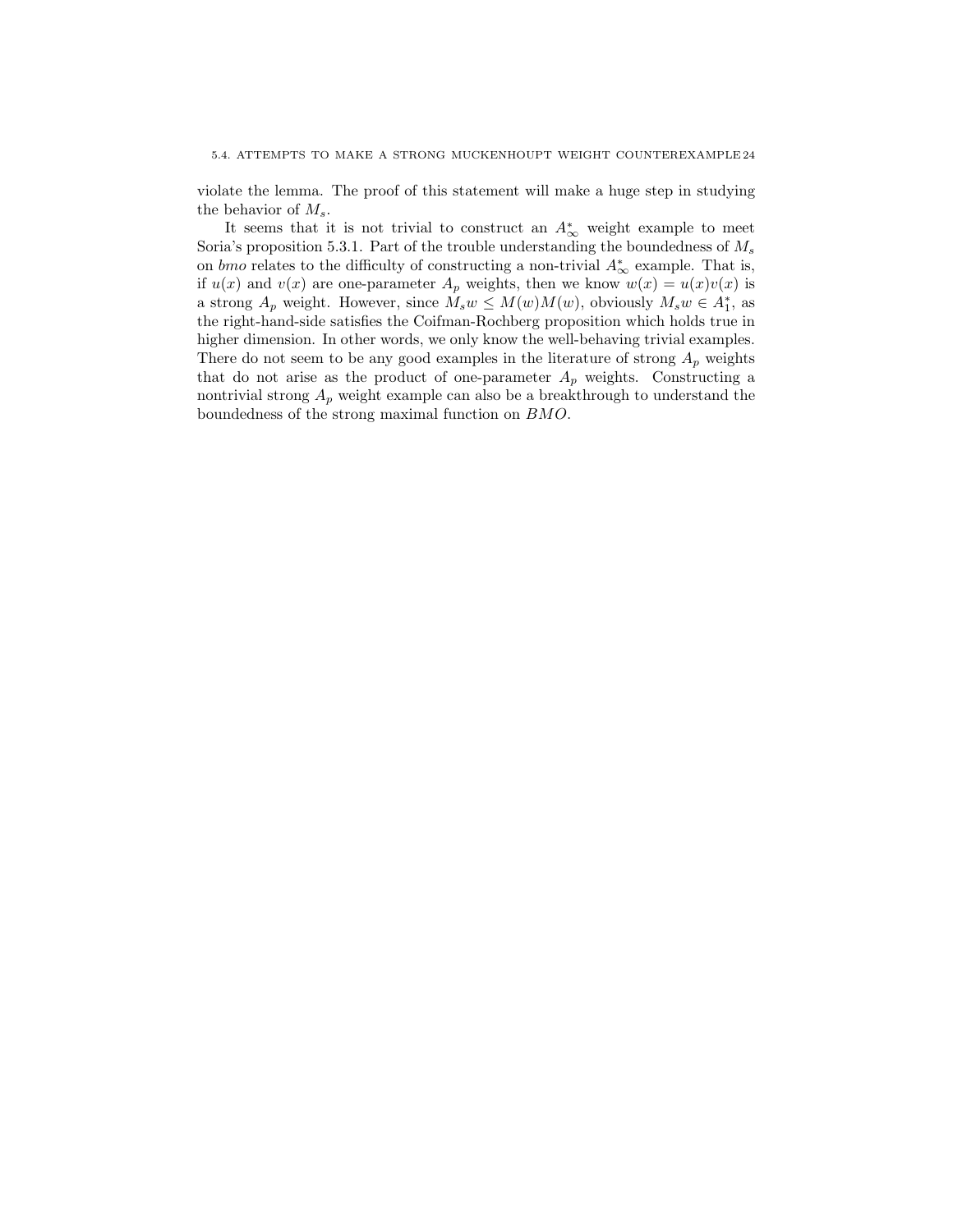violate the lemma. The proof of this statement will make a huge step in studying the behavior of  $M_s$ .

It seems that it is not trivial to construct an  $A^*_{\infty}$  weight example to meet Soria's proposition 5.3.1. Part of the trouble understanding the boundedness of  $M_s$ on *bmo* relates to the difficulty of constructing a non-trivial  $A^*_{\infty}$  example. That is, if  $u(x)$  and  $v(x)$  are one-parameter  $A_p$  weights, then we know  $w(x) = u(x)v(x)$  is a strong  $A_p$  weight. However, since  $\tilde{M}_s w \le M(w)M(w)$ , obviously  $M_s w \in A_1^*$ , as the right-hand-side satisfies the Coifman-Rochberg proposition which holds true in higher dimension. In other words, we only know the well-behaving trivial examples. There do not seem to be any good examples in the literature of strong  $A_p$  weights that do not arise as the product of one-parameter  $A_p$  weights. Constructing a nontrivial strong  $A_p$  weight example can also be a breakthrough to understand the boundedness of the strong maximal function on BMO.